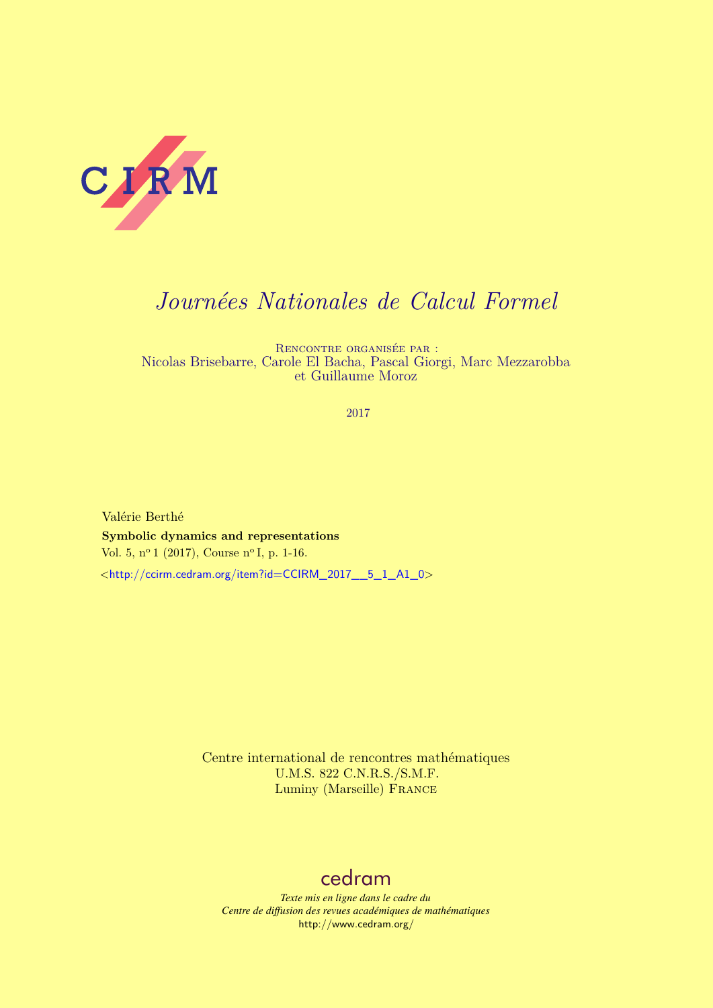

# *Journées Nationales de Calcul Formel*

Rencontre organisée par : Nicolas Brisebarre, Carole El Bacha, Pascal Giorgi, Marc Mezzarobba et Guillaume Moroz

2017

Valérie Berthé **Symbolic dynamics and representations** Vol. 5, nº 1 (2017), Course nº I, p. 1-16.  $\lt$ [http://ccirm.cedram.org/item?id=CCIRM\\_2017\\_\\_5\\_1\\_A1\\_0](http://ccirm.cedram.org/item?id=CCIRM_2017__5_1_A1_0)>

> Centre international de rencontres mathématiques U.M.S. 822 C.N.R.S./S.M.F. Luminy (Marseille) FRANCE

## [cedram](http://www.cedram.org/)

*Texte mis en ligne dans le cadre du Centre de diffusion des revues académiques de mathématiques* <http://www.cedram.org/>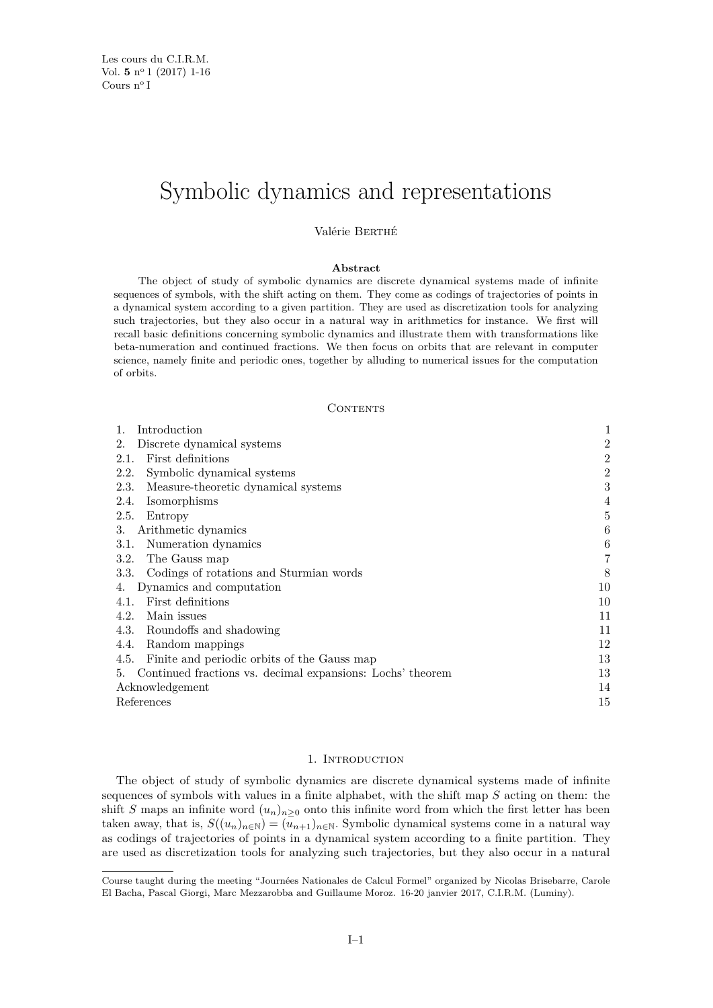## Symbolic dynamics and representations

Valérie Berthé

## **Abstract**

The object of study of symbolic dynamics are discrete dynamical systems made of infinite sequences of symbols, with the shift acting on them. They come as codings of trajectories of points in a dynamical system according to a given partition. They are used as discretization tools for analyzing such trajectories, but they also occur in a natural way in arithmetics for instance. We first will recall basic definitions concerning symbolic dynamics and illustrate them with transformations like beta-numeration and continued fractions. We then focus on orbits that are relevant in computer science, namely finite and periodic ones, together by alluding to numerical issues for the computation of orbits.

## CONTENTS

| Discrete dynamical systems<br>2.                                 | $\overline{2}$ |
|------------------------------------------------------------------|----------------|
| First definitions<br>2.1.                                        | $\overline{2}$ |
| Symbolic dynamical systems<br>2.2.                               | $\overline{2}$ |
| Measure-theoretic dynamical systems<br>2.3.                      | 3              |
| Isomorphisms<br>2.4.                                             | 4              |
| 2.5.<br>Entropy                                                  | $\overline{5}$ |
| Arithmetic dynamics<br>3.                                        | 6              |
| Numeration dynamics<br>3.1.                                      | $\,6$          |
| The Gauss map<br>3.2.                                            | 7              |
| Codings of rotations and Sturmian words<br>3.3.                  | 8              |
| Dynamics and computation<br>4.                                   | 10             |
| First definitions<br>4.1.                                        | 10             |
| Main issues<br>4.2.                                              | 11             |
| 4.3. Roundoffs and shadowing                                     | 11             |
| 4.4.<br>Random mappings                                          | 12             |
| Finite and periodic orbits of the Gauss map<br>4.5.              | 13             |
| Continued fractions vs. decimal expansions: Lochs' theorem<br>5. | 13             |
| Acknowledgement                                                  | 14             |
| References                                                       | 15             |

### 1. INTRODUCTION

<span id="page-1-0"></span>The object of study of symbolic dynamics are discrete dynamical systems made of infinite sequences of symbols with values in a finite alphabet, with the shift map  $S$  acting on them: the shift S maps an infinite word  $(u_n)_{n\geq 0}$  onto this infinite word from which the first letter has been taken away, that is,  $S((u_n)_{n\in\mathbb{N}}) = (u_{n+1})_{n\in\mathbb{N}}$ . Symbolic dynamical systems come in a natural way as codings of trajectories of points in a dynamical system according to a finite partition. They are used as discretization tools for analyzing such trajectories, but they also occur in a natural

Course taught during the meeting "Journées Nationales de Calcul Formel" organized by Nicolas Brisebarre, Carole El Bacha, Pascal Giorgi, Marc Mezzarobba and Guillaume Moroz. 16-20 janvier 2017, C.I.R.M. (Luminy).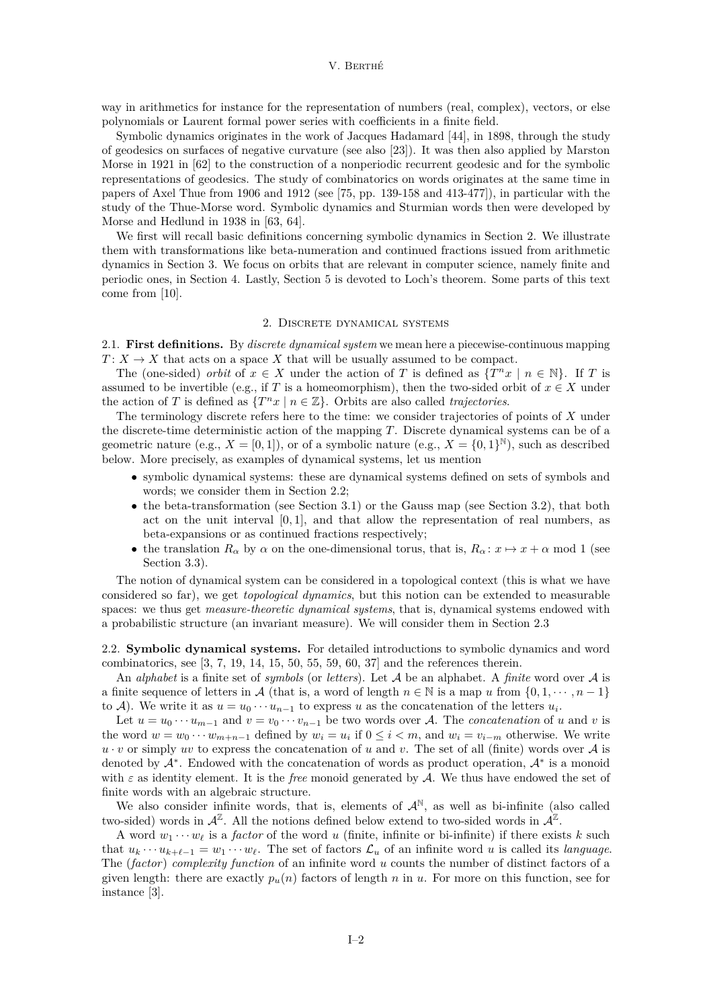way in arithmetics for instance for the representation of numbers (real, complex), vectors, or else polynomials or Laurent formal power series with coefficients in a finite field.

Symbolic dynamics originates in the work of Jacques Hadamard [\[44\]](#page-16-0), in 1898, through the study of geodesics on surfaces of negative curvature (see also [\[23\]](#page-15-1)). It was then also applied by Marston Morse in 1921 in [\[62\]](#page-16-1) to the construction of a nonperiodic recurrent geodesic and for the symbolic representations of geodesics. The study of combinatorics on words originates at the same time in papers of Axel Thue from 1906 and 1912 (see [\[75,](#page-16-2) pp. 139-158 and 413-477]), in particular with the study of the Thue-Morse word. Symbolic dynamics and Sturmian words then were developed by Morse and Hedlund in 1938 in [\[63,](#page-16-3) [64\]](#page-16-4).

We first will recall basic definitions concerning symbolic dynamics in Section [2.](#page-2-0) We illustrate them with transformations like beta-numeration and continued fractions issued from arithmetic dynamics in Section [3.](#page-6-0) We focus on orbits that are relevant in computer science, namely finite and periodic ones, in Section [4.](#page-10-0) Lastly, Section [5](#page-13-1) is devoted to Loch's theorem. Some parts of this text come from [\[10\]](#page-15-2).

## 2. Discrete dynamical systems

<span id="page-2-1"></span><span id="page-2-0"></span>2.1. **First definitions.** By *discrete dynamical system* we mean here a piecewise-continuous mapping  $T: X \to X$  that acts on a space X that will be usually assumed to be compact.

The (one-sided) *orbit* of  $x \in X$  under the action of T is defined as  $\{T^n x \mid n \in \mathbb{N}\}\$ . If T is assumed to be invertible (e.g., if T is a homeomorphism), then the two-sided orbit of  $x \in X$  under the action of T is defined as  $\{T^n x \mid n \in \mathbb{Z}\}$ . Orbits are also called *trajectories*.

The terminology discrete refers here to the time: we consider trajectories of points of  $X$  under the discrete-time deterministic action of the mapping  $T$ . Discrete dynamical systems can be of a geometric nature (e.g.,  $X = [0, 1]$ ), or of a symbolic nature (e.g.,  $X = \{0, 1\}^{\mathbb{N}}$ ), such as described below. More precisely, as examples of dynamical systems, let us mention

- ∙ symbolic dynamical systems: these are dynamical systems defined on sets of symbols and words; we consider them in Section [2.2;](#page-2-2)
- ∙ the beta-transformation (see Section [3.1\)](#page-6-1) or the Gauss map (see Section [3.2\)](#page-7-0), that both act on the unit interval [0*,* 1], and that allow the representation of real numbers, as beta-expansions or as continued fractions respectively;
- the translation  $R_{\alpha}$  by  $\alpha$  on the one-dimensional torus, that is,  $R_{\alpha}: x \mapsto x + \alpha \mod 1$  (see Section [3.3\)](#page-8-0).

The notion of dynamical system can be considered in a topological context (this is what we have considered so far), we get *topological dynamics*, but this notion can be extended to measurable spaces: we thus get *measure-theoretic dynamical systems*, that is, dynamical systems endowed with a probabilistic structure (an invariant measure). We will consider them in Section [2.3](#page-3-0)

<span id="page-2-2"></span>2.2. **Symbolic dynamical systems.** For detailed introductions to symbolic dynamics and word combinatorics, see [\[3,](#page-15-3) [7,](#page-15-4) [19,](#page-15-5) [14,](#page-15-6) [15,](#page-15-7) [50,](#page-16-5) [55,](#page-16-6) [59,](#page-16-7) [60,](#page-16-8) [37\]](#page-15-8) and the references therein.

An *alphabet* is a finite set of *symbols* (or *letters*). Let  $A$  be an alphabet. A *finite* word over  $A$  is a finite sequence of letters in A (that is, a word of length  $n \in \mathbb{N}$  is a map u from  $\{0, 1, \dots, n-1\}$ to A). We write it as  $u = u_0 \cdots u_{n-1}$  to express u as the concatenation of the letters  $u_i$ .

Let  $u = u_0 \cdots u_{m-1}$  and  $v = v_0 \cdots v_{n-1}$  be two words over A. The *concatenation* of u and v is the word  $w = w_0 \cdots w_{m+n-1}$  defined by  $w_i = u_i$  if  $0 \leq i < m$ , and  $w_i = v_{i-m}$  otherwise. We write  $u \cdot v$  or simply uv to express the concatenation of u and v. The set of all (finite) words over A is denoted by  $A^*$ . Endowed with the concatenation of words as product operation,  $A^*$  is a monoid with  $\varepsilon$  as identity element. It is the *free* monoid generated by A. We thus have endowed the set of finite words with an algebraic structure.

We also consider infinite words, that is, elements of  $\mathcal{A}^{\mathbb{N}}$ , as well as bi-infinite (also called two-sided) words in  $\mathcal{A}^{\mathbb{Z}}$ . All the notions defined below extend to two-sided words in  $\mathcal{A}^{\mathbb{Z}}$ .

A word  $w_1 \cdots w_\ell$  is a *factor* of the word u (finite, infinite or bi-infinite) if there exists k such that  $u_k \cdots u_{k+\ell-1} = w_1 \cdots w_{\ell}$ . The set of factors  $\mathcal{L}_u$  of an infinite word u is called its *language*. The (*factor*) *complexity function* of an infinite word u counts the number of distinct factors of a given length: there are exactly  $p_u(n)$  factors of length n in u. For more on this function, see for instance [\[3\]](#page-15-3).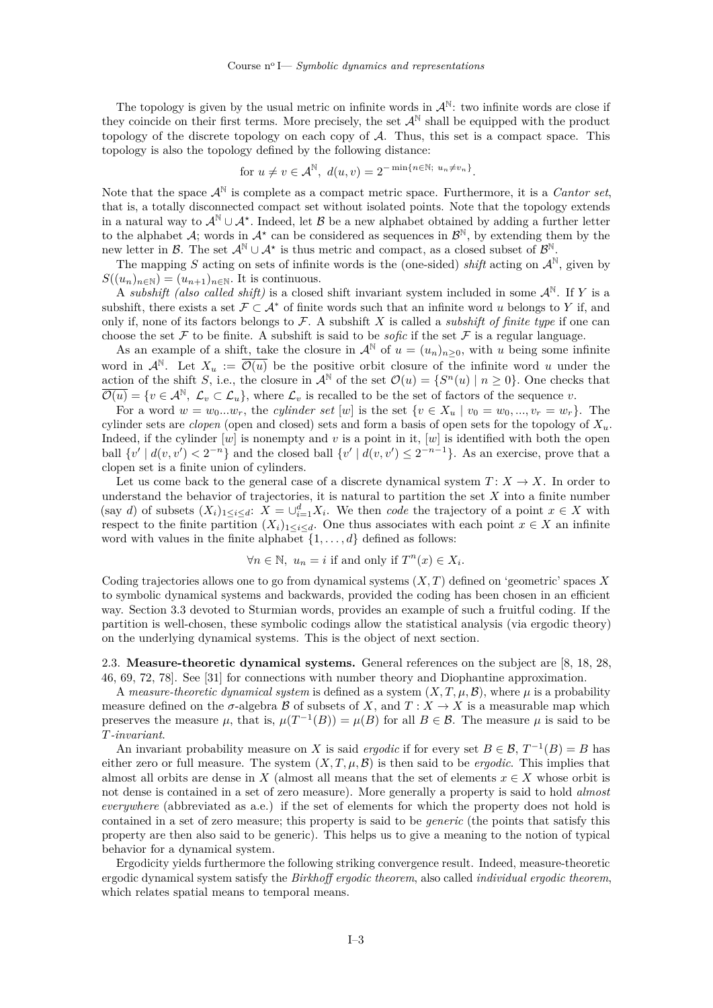The topology is given by the usual metric on infinite words in  $\mathcal{A}^{\mathbb{N}}$ : two infinite words are close if they coincide on their first terms. More precisely, the set  $\mathcal{A}^{\mathbb{N}}$  shall be equipped with the product topology of the discrete topology on each copy of  $A$ . Thus, this set is a compact space. This topology is also the topology defined by the following distance:

for 
$$
u \neq v \in \mathcal{A}^{\mathbb{N}}
$$
,  $d(u, v) = 2^{-\min\{n \in \mathbb{N}; u_n \neq v_n\}}$ .

Note that the space  $\mathcal{A}^{\mathbb{N}}$  is complete as a compact metric space. Furthermore, it is a *Cantor set*, that is, a totally disconnected compact set without isolated points. Note that the topology extends in a natural way to  $\mathcal{A}^{\mathbb{N}} \cup \mathcal{A}^*$ . Indeed, let  $\mathcal{B}$  be a new alphabet obtained by adding a further letter to the alphabet  $\mathcal{A}$ ; words in  $\mathcal{A}^*$  can be considered as sequences in  $\mathcal{B}^{\mathbb{N}}$ , by extending them by the new letter in  $\mathcal{B}$ . The set  $\mathcal{A}^{\mathbb{N}} \cup \mathcal{A}^*$  is thus metric and compact, as a closed subset of  $\mathcal{B}^{\mathbb{N}}$ .

The mapping S acting on sets of infinite words is the (one-sided) *shift* acting on  $\mathcal{A}^{\mathbb{N}}$ , given by  $S((u_n)_{n\in\mathbb{N}})=(u_{n+1})_{n\in\mathbb{N}}$ . It is continuous.

A *subshift (also called shift)* is a closed shift invariant system included in some  $\mathcal{A}^{\mathbb{N}}$ . If Y is a subshift, there exists a set  $\mathcal{F} \subset \mathcal{A}^*$  of finite words such that an infinite word u belongs to Y if, and only if, none of its factors belongs to  $\mathcal F$ . A subshift  $X$  is called a *subshift of finite type* if one can choose the set  $\mathcal F$  to be finite. A subshift is said to be *sofic* if the set  $\mathcal F$  is a regular language.

As an example of a shift, take the closure in  $\mathcal{A}^{\mathbb{N}}$  of  $u = (u_n)_{n>0}$ , with u being some infinite word in  $\mathcal{A}^{\mathbb{N}}$ . Let  $X_u := \overline{\mathcal{O}(u)}$  be the positive orbit closure of the infinite word u under the action of the shift S, i.e., the closure in  $\mathcal{A}^{\mathbb{N}}$  of the set  $\mathcal{O}(u) = \{S^n(u) | n \geq 0\}$ . One checks that  $\overline{\mathcal{O}(u)} = \{v \in \mathcal{A}^{\mathbb{N}}, \mathcal{L}_v \subset \mathcal{L}_u\},\$  where  $\mathcal{L}_v$  is recalled to be the set of factors of the sequence v.

For a word  $w = w_0...w_r$ , the *cylinder set* [w] is the set  $\{v \in X_u \mid v_0 = w_0, ..., v_r = w_r\}$ . The cylinder sets are *clopen* (open and closed) sets and form a basis of open sets for the topology of  $X_u$ . Indeed, if the cylinder  $[w]$  is nonempty and v is a point in it,  $[w]$  is identified with both the open ball  $\{v' \mid d(v, v') < 2^{-n}\}$  and the closed ball  $\{v' \mid d(v, v') \leq 2^{-n-1}\}$ . As an exercise, prove that a clopen set is a finite union of cylinders.

Let us come back to the general case of a discrete dynamical system  $T: X \to X$ . In order to understand the behavior of trajectories, it is natural to partition the set  $X$  into a finite number (say d) of subsets  $(X_i)_{1 \leq i \leq d}$ :  $X = \bigcup_{i=1}^d X_i$ . We then *code* the trajectory of a point  $x \in X$  with respect to the finite partition  $(X_i)_{1\leq i\leq d}$ . One thus associates with each point  $x \in X$  an infinite word with values in the finite alphabet  $\{1, \ldots, d\}$  defined as follows:

$$
\forall n \in \mathbb{N}, \ u_n = i \text{ if and only if } T^n(x) \in X_i.
$$

Coding trajectories allows one to go from dynamical systems  $(X, T)$  defined on 'geometric' spaces X to symbolic dynamical systems and backwards, provided the coding has been chosen in an efficient way. Section [3.3](#page-8-0) devoted to Sturmian words, provides an example of such a fruitful coding. If the partition is well-chosen, these symbolic codings allow the statistical analysis (via ergodic theory) on the underlying dynamical systems. This is the object of next section.

<span id="page-3-0"></span>2.3. **Measure-theoretic dynamical systems.** General references on the subject are [\[8,](#page-15-9) [18,](#page-15-10) [28,](#page-15-11) [46,](#page-16-9) [69,](#page-16-10) [72,](#page-16-11) [78\]](#page-16-12). See [\[31\]](#page-15-12) for connections with number theory and Diophantine approximation.

A *measure-theoretic dynamical system* is defined as a system  $(X, T, \mu, \mathcal{B})$ , where  $\mu$  is a probability measure defined on the  $\sigma$ -algebra  $\mathcal B$  of subsets of X, and  $T : X \to X$  is a measurable map which preserves the measure  $\mu$ , that is,  $\mu(T^{-1}(B)) = \mu(B)$  for all  $B \in \mathcal{B}$ . The measure  $\mu$  is said to be *-invariant*.

An invariant probability measure on X is said *ergodic* if for every set  $B \in \mathcal{B}$ ,  $T^{-1}(B) = B$  has either zero or full measure. The system  $(X, T, \mu, \mathcal{B})$  is then said to be *ergodic*. This implies that almost all orbits are dense in X (almost all means that the set of elements  $x \in X$  whose orbit is not dense is contained in a set of zero measure). More generally a property is said to hold *almost everywhere* (abbreviated as a.e.) if the set of elements for which the property does not hold is contained in a set of zero measure; this property is said to be *generic* (the points that satisfy this property are then also said to be generic). This helps us to give a meaning to the notion of typical behavior for a dynamical system.

Ergodicity yields furthermore the following striking convergence result. Indeed, measure-theoretic ergodic dynamical system satisfy the *Birkhoff ergodic theorem*, also called *individual ergodic theorem*, which relates spatial means to temporal means.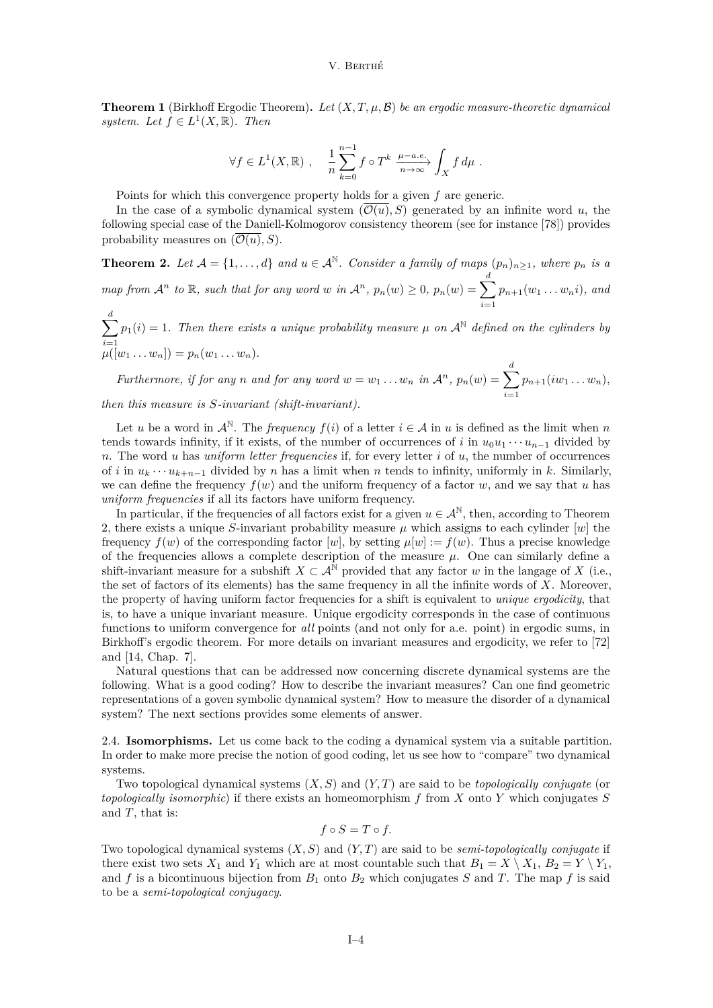**Theorem 1** (Birkhoff Ergodic Theorem). Let  $(X, T, \mu, \mathcal{B})$  be an ergodic measure-theoretic dynamical *system.* Let  $f \in L^1(X, \mathbb{R})$ . Then

$$
\forall f \in L^{1}(X,\mathbb{R}) , \quad \frac{1}{n} \sum_{k=0}^{n-1} f \circ T^{k} \xrightarrow[n \to \infty]{\mu - a.e.} \int_{X} f d\mu .
$$

Points for which this convergence property holds for a given  $f$  are generic.

In the case of a symbolic dynamical system  $(\overline{O(u)}, S)$  generated by an infinite word u, the following special case of the Daniell-Kolmogorov consistency theorem (see for instance [\[78\]](#page-16-12)) provides probability measures on  $(\mathcal{O}(u), S)$ .

<span id="page-4-1"></span>**Theorem 2.** Let  $A = \{1, ..., d\}$  and  $u \in A^{\mathbb{N}}$ . Consider a family of maps  $(p_n)_{n \geq 1}$ , where  $p_n$  is a *map from*  $\mathcal{A}^n$  *to*  $\mathbb{R}$ *, such that for any word*  $w$  *in*  $\mathcal{A}^n$ *,*  $p_n(w) \geq 0$ *,*  $p_n(w) = \sum_{i=1}^d$  $i=1$  $p_{n+1}(w_1 \ldots w_n i)$ *, and* 

 $\sum$  $i=1$  $p_1(i) = 1$ . Then there exists a unique probability measure  $\mu$  on  $\mathcal{A}^{\mathbb{N}}$  defined on the cylinders by  $\mu([w_1 \dots w_n]) = p_n(w_1 \dots w_n).$ 

*Furthermore, if for any n* and *for any word*  $w = w_1 \dots w_n$  *in*  $\mathcal{A}^n$ *,*  $p_n(w) = \sum_{n=1}^d$  $i=1$  $p_{n+1}(iw_1 \ldots w_n),$ *then this measure is*  $S$ -*invariant (shift-invariant).* 

Let u be a word in  $\mathcal{A}^{\mathbb{N}}$ . The *frequency*  $f(i)$  of a letter  $i \in \mathcal{A}$  in u is defined as the limit when n tends towards infinity, if it exists, of the number of occurrences of *i* in  $u_0 u_1 \cdots u_{n-1}$  divided by  $n.$  The word  $u$  has *uniform letter frequencies* if, for every letter  $i$  of  $u$ , the number of occurrences of *i* in  $u_k \cdots u_{k+n-1}$  divided by *n* has a limit when *n* tends to infinity, uniformly in *k*. Similarly, we can define the frequency  $f(w)$  and the uniform frequency of a factor w, and we say that u has *uniform frequencies* if all its factors have uniform frequency.

In particular, if the frequencies of all factors exist for a given  $u \in A^{\mathbb{N}}$ , then, according to Theorem [2,](#page-4-1) there exists a unique S-invariant probability measure  $\mu$  which assigns to each cylinder [w] the frequency  $f(w)$  of the corresponding factor [w], by setting  $\mu[w] := f(w)$ . Thus a precise knowledge of the frequencies allows a complete description of the measure  $\mu$ . One can similarly define a shift-invariant measure for a subshift  $X \subset \mathcal{A}^{\mathbb{N}}$  provided that any factor w in the langage of X (i.e., the set of factors of its elements) has the same frequency in all the infinite words of  $X$ . Moreover, the property of having uniform factor frequencies for a shift is equivalent to *unique ergodicity*, that is, to have a unique invariant measure. Unique ergodicity corresponds in the case of continuous functions to uniform convergence for *all* points (and not only for a.e. point) in ergodic sums, in Birkhoff's ergodic theorem. For more details on invariant measures and ergodicity, we refer to [\[72\]](#page-16-11) and [\[14,](#page-15-6) Chap. 7].

Natural questions that can be addressed now concerning discrete dynamical systems are the following. What is a good coding? How to describe the invariant measures? Can one find geometric representations of a goven symbolic dynamical system? How to measure the disorder of a dynamical system? The next sections provides some elements of answer.

<span id="page-4-0"></span>2.4. **Isomorphisms.** Let us come back to the coding a dynamical system via a suitable partition. In order to make more precise the notion of good coding, let us see how to "compare" two dynamical systems.

Two topological dynamical systems  $(X, S)$  and  $(Y, T)$  are said to be *topologically conjugate* (or *topologically isomorphic*) if there exists an homeomorphism  $f$  from  $X$  onto  $Y$  which conjugates  $S$ and  $T$ , that is:

$$
f \circ S = T \circ f.
$$

Two topological dynamical systems  $(X, S)$  and  $(Y, T)$  are said to be *semi-topologically conjugate* if there exist two sets  $X_1$  and  $Y_1$  which are at most countable such that  $B_1 = X \setminus X_1$ ,  $B_2 = Y \setminus Y_1$ , and f is a bicontinuous bijection from  $B_1$  onto  $B_2$  which conjugates S and T. The map f is said to be a *semi-topological conjugacy*.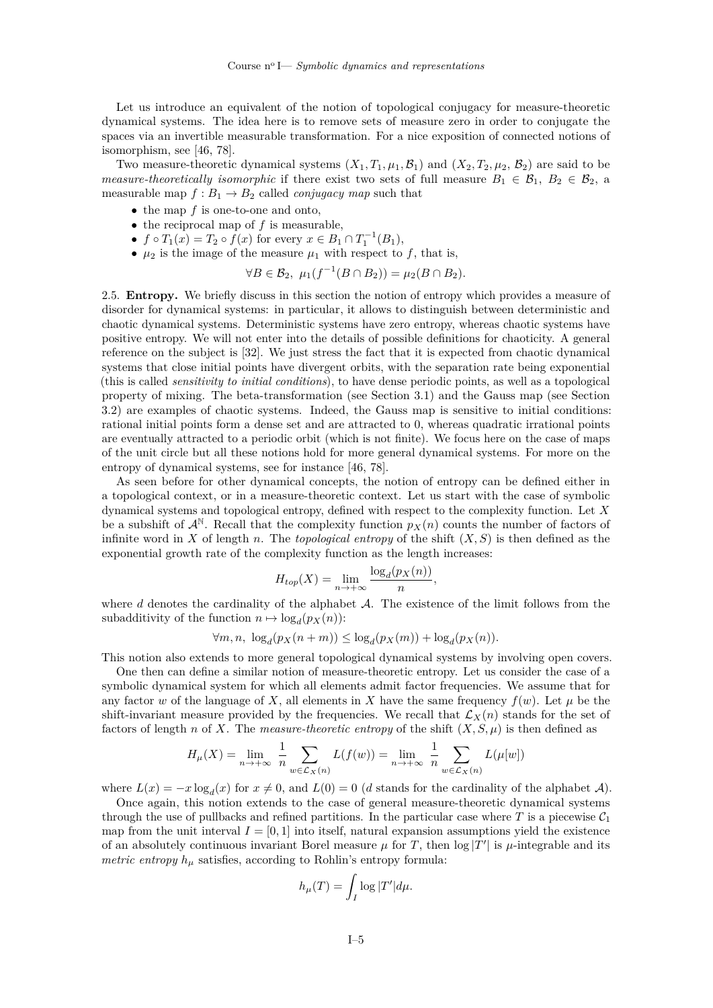Let us introduce an equivalent of the notion of topological conjugacy for measure-theoretic dynamical systems. The idea here is to remove sets of measure zero in order to conjugate the spaces via an invertible measurable transformation. For a nice exposition of connected notions of isomorphism, see [\[46,](#page-16-9) [78\]](#page-16-12).

Two measure-theoretic dynamical systems  $(X_1, T_1, \mu_1, \mathcal{B}_1)$  and  $(X_2, T_2, \mu_2, \mathcal{B}_2)$  are said to be *measure-theoretically isomorphic* if there exist two sets of full measure  $B_1 \in \mathcal{B}_1$ ,  $B_2 \in \mathcal{B}_2$ , a measurable map  $f : B_1 \to B_2$  called *conjugacy map* such that

- the map  $f$  is one-to-one and onto,
- the reciprocal map of  $f$  is measurable,
- $f \circ T_1(x) = T_2 \circ f(x)$  for every  $x \in B_1 \cap T_1^{-1}(B_1)$ ,
- $\mu_2$  is the image of the measure  $\mu_1$  with respect to f, that is,

$$
\forall B \in \mathcal{B}_2, \ \mu_1(f^{-1}(B \cap B_2)) = \mu_2(B \cap B_2).
$$

<span id="page-5-0"></span>2.5. **Entropy.** We briefly discuss in this section the notion of entropy which provides a measure of disorder for dynamical systems: in particular, it allows to distinguish between deterministic and chaotic dynamical systems. Deterministic systems have zero entropy, whereas chaotic systems have positive entropy. We will not enter into the details of possible definitions for chaoticity. A general reference on the subject is [\[32\]](#page-15-13). We just stress the fact that it is expected from chaotic dynamical systems that close initial points have divergent orbits, with the separation rate being exponential (this is called *sensitivity to initial conditions*), to have dense periodic points, as well as a topological property of mixing. The beta-transformation (see Section [3.1\)](#page-6-1) and the Gauss map (see Section [3.2\)](#page-7-0) are examples of chaotic systems. Indeed, the Gauss map is sensitive to initial conditions: rational initial points form a dense set and are attracted to 0, whereas quadratic irrational points are eventually attracted to a periodic orbit (which is not finite). We focus here on the case of maps of the unit circle but all these notions hold for more general dynamical systems. For more on the entropy of dynamical systems, see for instance [\[46,](#page-16-9) [78\]](#page-16-12).

As seen before for other dynamical concepts, the notion of entropy can be defined either in a topological context, or in a measure-theoretic context. Let us start with the case of symbolic dynamical systems and topological entropy, defined with respect to the complexity function. Let  $X$ be a subshift of  $\mathcal{A}^{\mathbb{N}}$ . Recall that the complexity function  $p_X(n)$  counts the number of factors of infinite word in X of length n. The *topological entropy* of the shift  $(X, S)$  is then defined as the exponential growth rate of the complexity function as the length increases:

$$
H_{top}(X) = \lim_{n \to +\infty} \frac{\log_d(p_X(n))}{n},
$$

where  $d$  denotes the cardinality of the alphabet  $\mathcal{A}$ . The existence of the limit follows from the subadditivity of the function  $n \mapsto \log_d(p_X(n))$ :

$$
\forall m, n, \ \log_d(p_X(n+m)) \le \log_d(p_X(m)) + \log_d(p_X(n)).
$$

This notion also extends to more general topological dynamical systems by involving open covers.

One then can define a similar notion of measure-theoretic entropy. Let us consider the case of a symbolic dynamical system for which all elements admit factor frequencies. We assume that for any factor w of the language of X, all elements in X have the same frequency  $f(w)$ . Let  $\mu$  be the shift-invariant measure provided by the frequencies. We recall that  $\mathcal{L}_X(n)$  stands for the set of factors of length n of X. The *measure-theoretic entropy* of the shift  $(X, S, \mu)$  is then defined as

$$
H_{\mu}(X) = \lim_{n \to +\infty} \frac{1}{n} \sum_{w \in \mathcal{L}_X(n)} L(f(w)) = \lim_{n \to +\infty} \frac{1}{n} \sum_{w \in \mathcal{L}_X(n)} L(\mu[w])
$$

where  $L(x) = -x \log_d(x)$  for  $x \neq 0$ , and  $L(0) = 0$  (d stands for the cardinality of the alphabet A).

Once again, this notion extends to the case of general measure-theoretic dynamical systems through the use of pullbacks and refined partitions. In the particular case where T is a piecewise  $C_1$ map from the unit interval  $I = [0, 1]$  into itself, natural expansion assumptions yield the existence of an absolutely continuous invariant Borel measure  $\mu$  for T, then  $\log |T'|$  is  $\mu$ -integrable and its *metric entropy*  $h_{\mu}$  satisfies, according to Rohlin's entropy formula:

$$
h_{\mu}(T) = \int_{I} \log |T'| d\mu.
$$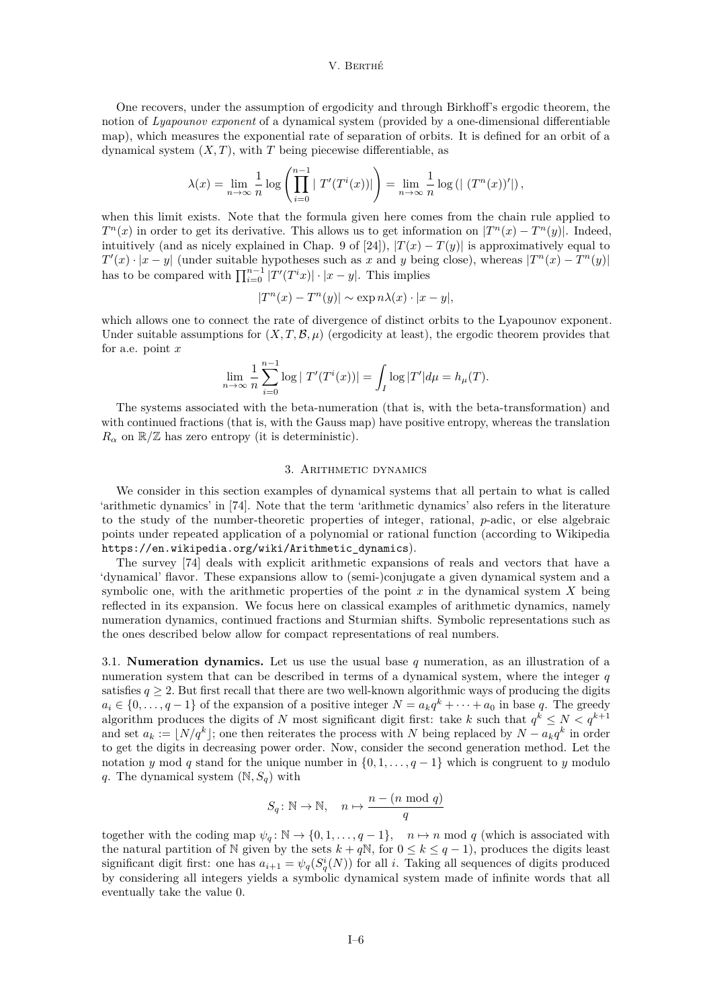One recovers, under the assumption of ergodicity and through Birkhoff's ergodic theorem, the notion of *Lyapounov exponent* of a dynamical system (provided by a one-dimensional differentiable map), which measures the exponential rate of separation of orbits. It is defined for an orbit of a dynamical system  $(X, T)$ , with  $T$  being piecewise differentiable, as

$$
\lambda(x) = \lim_{n \to \infty} \frac{1}{n} \log \left( \prod_{i=0}^{n-1} |T'(T^i(x))| \right) = \lim_{n \to \infty} \frac{1}{n} \log \left( | (T^n(x))' | \right),
$$

when this limit exists. Note that the formula given here comes from the chain rule applied to  $T^n(x)$  in order to get its derivative. This allows us to get information on  $|T^n(x) - T^n(y)|$ . Indeed, intuitively (and as nicely explained in Chap. 9 of [\[24\]](#page-15-14)),  $|T(x) - T(y)|$  is approximatively equal to  $T'(x) \cdot |x-y|$  (under suitable hypotheses such as x and y being close), whereas  $|T^n(x) - T^n(y)|$ has to be compared with  $\prod_{i=0}^{n-1} |T'(T^i x)| \cdot |x - y|$ . This implies

$$
|T^n(x) - T^n(y)| \sim \exp n\lambda(x) \cdot |x - y|,
$$

which allows one to connect the rate of divergence of distinct orbits to the Lyapounov exponent. Under suitable assumptions for  $(X, T, \mathcal{B}, \mu)$  (ergodicity at least), the ergodic theorem provides that for a.e. point  $x$ 

$$
\lim_{n \to \infty} \frac{1}{n} \sum_{i=0}^{n-1} \log |T'(T^{i}(x))| = \int_{I} \log |T'| d\mu = h_{\mu}(T).
$$

The systems associated with the beta-numeration (that is, with the beta-transformation) and with continued fractions (that is, with the Gauss map) have positive entropy, whereas the translation  $R_{\alpha}$  on  $\mathbb{R}/\mathbb{Z}$  has zero entropy (it is deterministic).

## 3. Arithmetic dynamics

<span id="page-6-0"></span>We consider in this section examples of dynamical systems that all pertain to what is called 'arithmetic dynamics' in [\[74\]](#page-16-13). Note that the term 'arithmetic dynamics' also refers in the literature to the study of the number-theoretic properties of integer, rational,  $p$ -adic, or else algebraic points under repeated application of a polynomial or rational function (according to Wikipedia [https://en.wikipedia.org/wiki/Arithmetic\\_dynamics](https://en.wikipedia.org/wiki/Arithmetic_dynamics)).

The survey [\[74\]](#page-16-13) deals with explicit arithmetic expansions of reals and vectors that have a 'dynamical' flavor. These expansions allow to (semi-)conjugate a given dynamical system and a symbolic one, with the arithmetic properties of the point  $x$  in the dynamical system  $X$  being reflected in its expansion. We focus here on classical examples of arithmetic dynamics, namely numeration dynamics, continued fractions and Sturmian shifts. Symbolic representations such as the ones described below allow for compact representations of real numbers.

<span id="page-6-1"></span>3.1. **Numeration dynamics.** Let us use the usual base q numeration, as an illustration of a numeration system that can be described in terms of a dynamical system, where the integer  $q$ satisfies  $q \geq 2$ . But first recall that there are two well-known algorithmic ways of producing the digits  $a_i \in \{0, \ldots, q-1\}$  of the expansion of a positive integer  $N = a_k q^k + \cdots + a_0$  in base q. The greedy algorithm produces the digits of N most significant digit first: take k such that  $q^k \le N < q^{k+1}$ and set  $a_k := \lfloor N/q^k \rfloor$ ; one then reiterates the process with N being replaced by  $N - a_k q^k$  in order to get the digits in decreasing power order. Now, consider the second generation method. Let the notation y mod q stand for the unique number in  $\{0, 1, \ldots, q-1\}$  which is congruent to y modulo q. The dynamical system  $(N, S_q)$  with

$$
S_q \colon \mathbb{N} \to \mathbb{N}, \quad n \mapsto \frac{n - (n \mod q)}{q}
$$

together with the coding map  $\psi_q : \mathbb{N} \to \{0, 1, \ldots, q-1\}, \quad n \mapsto n \mod q$  (which is associated with the natural partition of N given by the sets  $k + qN$ , for  $0 \le k \le q - 1$ , produces the digits least significant digit first: one has  $a_{i+1} = \psi_q(S_q^i(N))$  for all i. Taking all sequences of digits produced by considering all integers yields a symbolic dynamical system made of infinite words that all eventually take the value 0.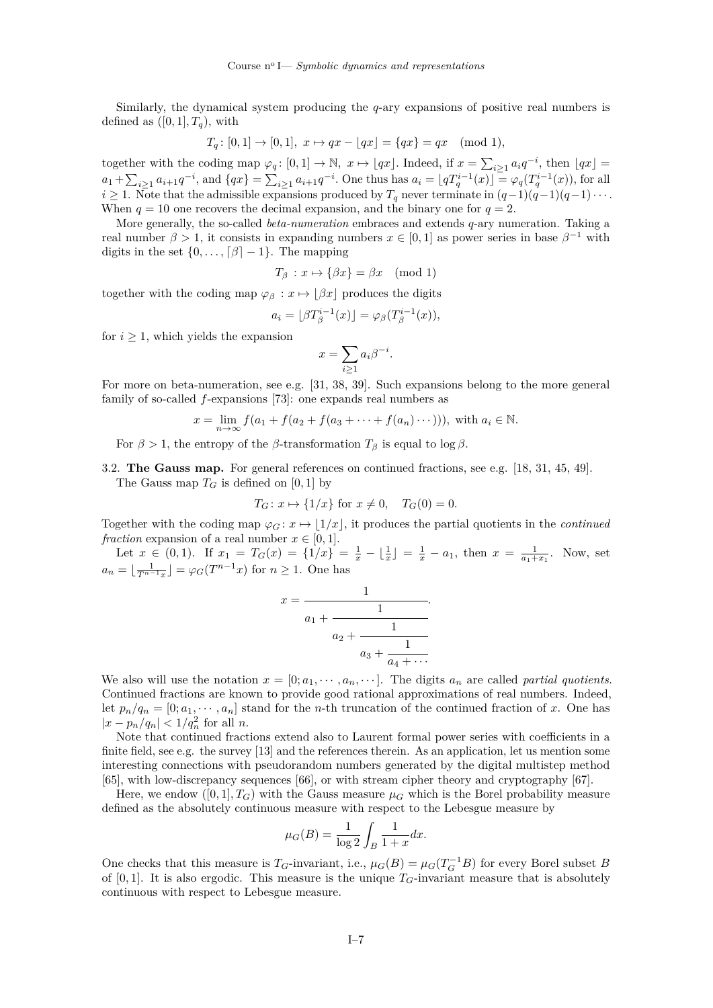Similarly, the dynamical system producing the  $q$ -ary expansions of positive real numbers is defined as  $([0, 1], T_q)$ , with

$$
T_q: [0,1] \to [0,1], \ x \mapsto qx - \lfloor qx \rfloor = \{ qx \} = qx \pmod{1},
$$

together with the coding map  $\varphi_q: [0,1] \to \mathbb{N}, x \mapsto [qx]$ . Indeed, if  $x = \sum_{i \geq 1} a_i q^{-i}$ , then  $\lfloor qx \rfloor =$  $a_1 + \sum_{i\geq 1} a_{i+1}q^{-i}$ , and  $\{qx\} = \sum_{i\geq 1} a_{i+1}q^{-i}$ . One thus has  $a_i = \lfloor qT_q^{i-1}(x) \rfloor = \varphi_q(T_q^{i-1}(x))$ , for all  $i \geq 1$ . Note that the admissible expansions produced by  $T_q$  never terminate in  $(q-1)(q-1)(q-1)\cdots$ . When  $q = 10$  one recovers the decimal expansion, and the binary one for  $q = 2$ .

More generally, the so-called *beta-numeration* embraces and extends q-ary numeration. Taking a real number  $\beta > 1$ , it consists in expanding numbers  $x \in [0,1]$  as power series in base  $\beta^{-1}$  with digits in the set  $\{0, \ldots, \lceil \beta \rceil - 1\}$ . The mapping

$$
T_{\beta}: x \mapsto {\beta x} = \beta x \pmod{1}
$$

together with the coding map  $\varphi_{\beta}: x \mapsto |\beta x|$  produces the digits

$$
a_i = \lfloor \beta T_\beta^{i-1}(x) \rfloor = \varphi_\beta(T_\beta^{i-1}(x)),
$$

for  $i \geq 1$ , which yields the expansion

$$
x = \sum_{i \ge 1} a_i \beta^{-i}.
$$

For more on beta-numeration, see e.g. [\[31,](#page-15-12) [38,](#page-15-15) [39\]](#page-16-14). Such expansions belong to the more general family of so-called  $f$ -expansions [\[73\]](#page-16-15): one expands real numbers as

$$
x = \lim_{n \to \infty} f(a_1 + f(a_2 + f(a_3 + \dots + f(a_n) \dots)))
$$
, with  $a_i \in \mathbb{N}$ .

For  $\beta > 1$ , the entropy of the  $\beta$ -transformation  $T_{\beta}$  is equal to log  $\beta$ .

 $\Omega$ 

<span id="page-7-0"></span>3.2. **The Gauss map.** For general references on continued fractions, see e.g. [\[18,](#page-15-10) [31,](#page-15-12) [45,](#page-16-16) [49\]](#page-16-17). The Gauss map  $T_G$  is defined on [0, 1] by

$$
T_G: x \mapsto \{1/x\}
$$
 for  $x \neq 0$ ,  $T_G(0) = 0$ .

Together with the coding map  $\varphi_G: x \mapsto |1/x|$ , it produces the partial quotients in the *continued fraction* expansion of a real number  $x \in [0, 1]$ .

Let  $x \in (0,1)$ . If  $x_1 = T_G(x) = \{1/x\} = \frac{1}{x} - \lfloor \frac{1}{x} \rfloor = \frac{1}{x} - a_1$ , then  $x = \frac{1}{a_1 + x_1}$ . Now, set  $a_n = \lfloor \frac{1}{T^{n-1}x} \rfloor = \varphi_G(T^{n-1}x)$  for  $n \geq 1$ . One has

$$
c = \cfrac{1}{a_1 + \cfrac{1}{a_2 + \cfrac{1}{a_3 + \cfrac{1}{a_4 + \cdots}}}}.
$$

We also will use the notation  $x = [0; a_1, \dots, a_n, \dots]$ . The digits  $a_n$  are called *partial quotients*. Continued fractions are known to provide good rational approximations of real numbers. Indeed, let  $p_n/q_n = [0; a_1, \dots, a_n]$  stand for the *n*-th truncation of the continued fraction of x. One has  $|x - p_n/q_n| < 1/q_n^2$  for all *n*.

Note that continued fractions extend also to Laurent formal power series with coefficients in a finite field, see e.g. the survey [\[13\]](#page-15-16) and the references therein. As an application, let us mention some interesting connections with pseudorandom numbers generated by the digital multistep method [\[65\]](#page-16-18), with low-discrepancy sequences [\[66\]](#page-16-19), or with stream cipher theory and cryptography [\[67\]](#page-16-20).

Here, we endow  $([0, 1], T_G)$  with the Gauss measure  $\mu_G$  which is the Borel probability measure defined as the absolutely continuous measure with respect to the Lebesgue measure by

$$
\mu_G(B) = \frac{1}{\log 2} \int_B \frac{1}{1+x} dx.
$$

One checks that this measure is  $T_G$ -invariant, i.e.,  $\mu_G(B) = \mu_G(T_G^{-1}B)$  for every Borel subset B of [0, 1]. It is also ergodic. This measure is the unique  $T_G$ -invariant measure that is absolutely continuous with respect to Lebesgue measure.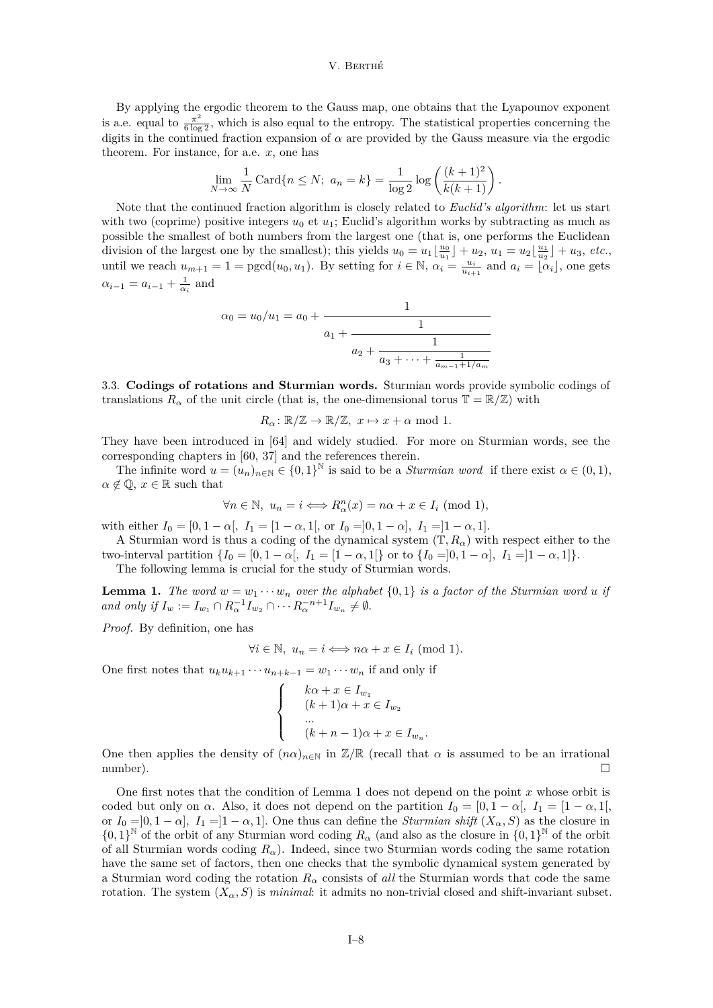By applying the ergodic theorem to the Gauss map, one obtains that the Lyapounov exponent is a.e. equal to  $\frac{\pi^2}{6 \log 2}$ , which is also equal to the entropy. The statistical properties concerning the digits in the continued fraction expansion of  $\alpha$  are provided by the Gauss measure via the ergodic theorem. For instance, for a.e.  $x$ , one has

$$
\lim_{N \to \infty} \frac{1}{N} \operatorname{Card} \{ n \le N; \ a_n = k \} = \frac{1}{\log 2} \log \left( \frac{(k+1)^2}{k(k+1)} \right).
$$

Note that the continued fraction algorithm is closely related to *Euclid's algorithm*: let us start with two (coprime) positive integers  $u_0$  et  $u_1$ ; Euclid's algorithm works by subtracting as much as possible the smallest of both numbers from the largest one (that is, one performs the Euclidean division of the largest one by the smallest); this yields  $u_0 = u_1 \lfloor \frac{u_0}{u_1} \rfloor + u_2$ ,  $u_1 = u_2 \lfloor \frac{u_1}{u_2} \rfloor + u_3$ , *etc.*, until we reach  $u_{m+1} = 1 = \text{pgcd}(u_0, u_1)$ . By setting for  $i \in \mathbb{N}$ ,  $\alpha_i = \frac{u_i}{u_{i+1}}$  and  $a_i = \begin{bmatrix} 2 \\ \alpha_i \end{bmatrix}$ , one gets  $\alpha_{i-1} = a_{i-1} + \frac{1}{\alpha_i}$  and

$$
\alpha_0 = u_0/u_1 = a_0 + \cfrac{1}{a_1 + \cfrac{1}{a_2 + \cfrac{1}{a_3 + \dots + \cfrac{1}{a_{m-1} + 1/a_m}}}}
$$

<span id="page-8-0"></span>3.3. **Codings of rotations and Sturmian words.** Sturmian words provide symbolic codings of translations  $R_{\alpha}$  of the unit circle (that is, the one-dimensional torus  $\mathbb{T} = \mathbb{R}/\mathbb{Z}$ ) with

$$
R_{\alpha} \colon \mathbb{R}/\mathbb{Z} \to \mathbb{R}/\mathbb{Z}, \ x \mapsto x + \alpha \text{ mod } 1.
$$

They have been introduced in [\[64\]](#page-16-4) and widely studied. For more on Sturmian words, see the corresponding chapters in [\[60,](#page-16-8) [37\]](#page-15-8) and the references therein.

The infinite word  $u = (u_n)_{n \in \mathbb{N}} \in \{0,1\}^{\mathbb{N}}$  is said to be a *Sturmian word* if there exist  $\alpha \in (0,1)$ ,  $\alpha \notin \mathbb{Q}, x \in \mathbb{R}$  such that

$$
\forall n \in \mathbb{N}, \ u_n = i \Longleftrightarrow R^n_{\alpha}(x) = n\alpha + x \in I_i \ (\text{mod } 1),
$$

with either  $I_0 = [0, 1 - \alpha], I_1 = [1 - \alpha, 1],$  or  $I_0 = ]0, 1 - \alpha], I_1 = ]1 - \alpha, 1].$ 

A Sturmian word is thus a coding of the dynamical system  $(\mathbb{T}, R_{\alpha})$  with respect either to the two-interval partition  $\{I_0 = [0, 1 - \alpha], I_1 = [1 - \alpha, 1]\}$  or to  $\{I_0 = ]0, 1 - \alpha], I_1 = ]1 - \alpha, 1]\}.$ 

The following lemma is crucial for the study of Sturmian words.

<span id="page-8-1"></span>**Lemma 1.** The word  $w = w_1 \cdots w_n$  over the alphabet  $\{0,1\}$  is a factor of the Sturmian word u if *and only if*  $I_w := I_{w_1} \cap R_\alpha^{-1} I_{w_2} \cap \cdots R_\alpha^{-n+1} I_{w_n} \neq \emptyset$ .

*Proof.* By definition, one has

$$
\forall i \in \mathbb{N}, \ u_n = i \Longleftrightarrow n\alpha + x \in I_i \ (\text{mod } 1).
$$

One first notes that  $u_k u_{k+1} \cdots u_{n+k-1} = w_1 \cdots w_n$  if and only if

$$
\begin{cases}\n k\alpha + x \in I_{w_1} \\
 (k+1)\alpha + x \in I_{w_2} \\
 \dots \\
 (k+n-1)\alpha + x \in I_{w_n}.\n\end{cases}
$$

One then applies the density of  $(n\alpha)_{n\in\mathbb{N}}$  in  $\mathbb{Z}/\mathbb{R}$  (recall that  $\alpha$  is assumed to be an irrational number). □

One first notes that the condition of Lemma [1](#page-8-1) does not depend on the point  $x$  whose orbit is coded but only on  $\alpha$ . Also, it does not depend on the partition  $I_0 = [0, 1 - \alpha], I_1 = [1 - \alpha, 1],$ or  $I_0 = ]0, 1 - \alpha]$ ,  $I_1 = ]1 - \alpha, 1]$ . One thus can define the *Sturmian shift*  $(X_\alpha, S)$  as the closure in  $\{0,1\}^{\mathbb{N}}$  of the orbit of any Sturmian word coding  $R_{\alpha}$  (and also as the closure in  $\{0,1\}^{\mathbb{N}}$  of the orbit of all Sturmian words coding  $R_{\alpha}$ ). Indeed, since two Sturmian words coding the same rotation have the same set of factors, then one checks that the symbolic dynamical system generated by a Sturmian word coding the rotation  $R_{\alpha}$  consists of *all* the Sturmian words that code the same rotation. The system  $(X_\alpha, S)$  is *minimal*: it admits no non-trivial closed and shift-invariant subset.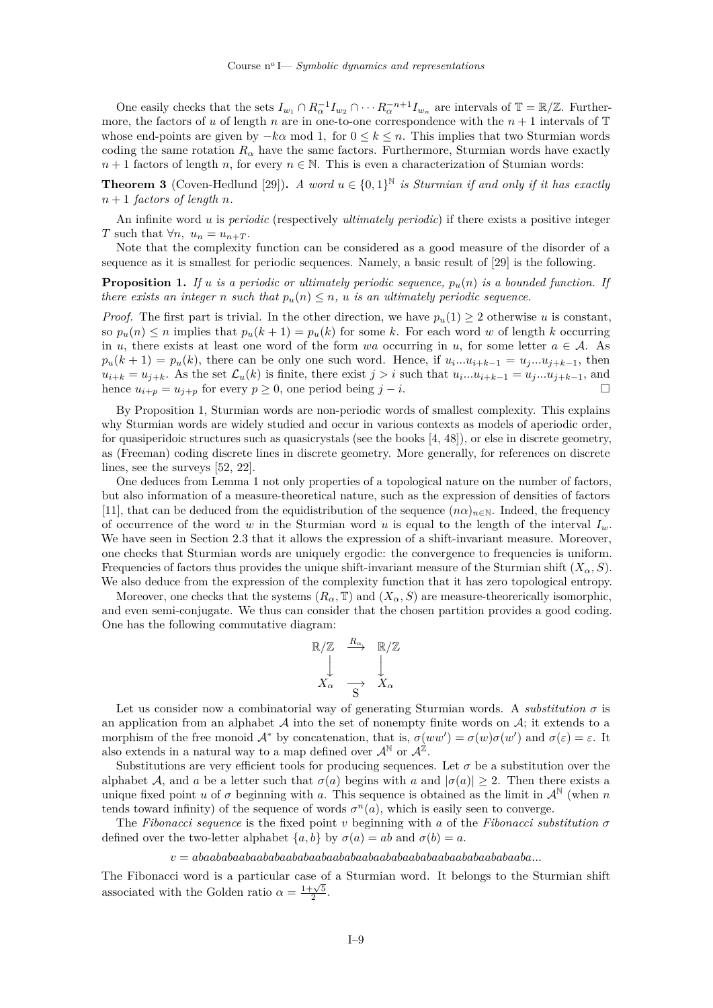One easily checks that the sets  $I_{w_1} \cap R_\alpha^{-1} I_{w_2} \cap \cdots R_\alpha^{-n+1} I_{w_n}$  are intervals of  $\mathbb{T} = \mathbb{R}/\mathbb{Z}$ . Furthermore, the factors of u of length n are in one-to-one correspondence with the  $n + 1$  intervals of T whose end-points are given by  $-k\alpha$  mod 1, for  $0 \leq k \leq n$ . This implies that two Sturmian words coding the same rotation  $R_{\alpha}$  have the same factors. Furthermore, Sturmian words have exactly  $n+1$  factors of length n, for every  $n \in \mathbb{N}$ . This is even a characterization of Stumian words:

**Theorem 3** (Coven-Hedlund [\[29\]](#page-15-17)). *A word*  $u \in \{0,1\}^{\mathbb{N}}$  *is Sturmian if and only if it has exactly*  $n + 1$  *factors of length n.* 

An infinite word is *periodic* (respectively *ultimately periodic*) if there exists a positive integer T such that  $\forall n, u_n = u_{n+T}$ .

Note that the complexity function can be considered as a good measure of the disorder of a sequence as it is smallest for periodic sequences. Namely, a basic result of [\[29\]](#page-15-17) is the following.

<span id="page-9-0"></span>**Proposition 1.** If u is a periodic or ultimately periodic sequence,  $p_u(n)$  is a bounded function. If *there exists an integer n* such that  $p_u(n) \leq n$ , *u is an ultimately periodic sequence.* 

*Proof.* The first part is trivial. In the other direction, we have  $p_u(1) \geq 2$  otherwise u is constant, so  $p_u(n) \leq n$  implies that  $p_u(k + 1) = p_u(k)$  for some k. For each word w of length k occurring in u, there exists at least one word of the form wa occurring in u, for some letter  $a \in \mathcal{A}$ . As  $p_u(k+1) = p_u(k)$ , there can be only one such word. Hence, if  $u_i...u_{i+k-1} = u_j...u_{j+k-1}$ , then  $u_{i+k} = u_{j+k}$ . As the set  $\mathcal{L}_u(k)$  is finite, there exist  $j > i$  such that  $u_i...u_{i+k-1} = u_j...u_{j+k-1}$ , and hence  $u_{i+p} = u_{j+p}$  for every  $p \ge 0$ , one period being  $j-i$ .

By Proposition [1,](#page-9-0) Sturmian words are non-periodic words of smallest complexity. This explains why Sturmian words are widely studied and occur in various contexts as models of aperiodic order, for quasiperidoic structures such as quasicrystals (see the books [\[4,](#page-15-18) [48\]](#page-16-21)), or else in discrete geometry, as (Freeman) coding discrete lines in discrete geometry. More generally, for references on discrete lines, see the surveys [\[52,](#page-16-22) [22\]](#page-15-19).

One deduces from Lemma [1](#page-8-1) not only properties of a topological nature on the number of factors, but also information of a measure-theoretical nature, such as the expression of densities of factors [\[11\]](#page-15-20), that can be deduced from the equidistribution of the sequence  $(n\alpha)_{n\in\mathbb{N}}$ . Indeed, the frequency of occurrence of the word w in the Sturmian word u is equal to the length of the interval  $I_w$ . We have seen in Section [2.3](#page-3-0) that it allows the expression of a shift-invariant measure. Moreover, one checks that Sturmian words are uniquely ergodic: the convergence to frequencies is uniform. Frequencies of factors thus provides the unique shift-invariant measure of the Sturmian shift  $(X_\alpha, S)$ . We also deduce from the expression of the complexity function that it has zero topological entropy.

Moreover, one checks that the systems  $(R_{\alpha}, \mathbb{T})$  and  $(X_{\alpha}, S)$  are measure-theorerically isomorphic, and even semi-conjugate. We thus can consider that the chosen partition provides a good coding. One has the following commutative diagram:

$$
\begin{array}{ccc}\n\mathbb{R}/\mathbb{Z} & \xrightarrow{R_{\alpha}} & \mathbb{R}/\mathbb{Z} \\
\downarrow & & \downarrow \\
X_{\alpha} & \xrightarrow{\rightarrow} & X_{\alpha}\n\end{array}
$$

Let us consider now a combinatorial way of generating Sturmian words. A *substitution*  $\sigma$  is an application from an alphabet  $A$  into the set of nonempty finite words on  $A$ ; it extends to a morphism of the free monoid  $\mathcal{A}^*$  by concatenation, that is,  $\sigma(ww') = \sigma(w)\sigma(w')$  and  $\sigma(\varepsilon) = \varepsilon$ . It also extends in a natural way to a map defined over  $\mathcal{A}^{\mathbb{N}}$  or  $\mathcal{A}^{\mathbb{Z}}$ .

Substitutions are very efficient tools for producing sequences. Let  $\sigma$  be a substitution over the alphabet A, and a be a letter such that  $\sigma(a)$  begins with a and  $|\sigma(a)| \geq 2$ . Then there exists a unique fixed point u of  $\sigma$  beginning with a. This sequence is obtained as the limit in  $\mathcal{A}^{\mathbb{N}}$  (when n tends toward infinity) of the sequence of words  $\sigma^{n}(a)$ , which is easily seen to converge.

The *Fibonacci sequence* is the fixed point  $v$  beginning with  $a$  of the *Fibonacci substitution*  $\sigma$ defined over the two-letter alphabet  $\{a, b\}$  by  $\sigma(a) = ab$  and  $\sigma(b) = a$ .

## $v = abaababaabaabaabaabaabaabaabaabaabaabaabaabaabaabaabaabaabaabaabaabaaabaa \ldots$

The Fibonacci word is a particular case of a Sturmian word. It belongs to the Sturmian shift associated with the Golden ratio  $\alpha = \frac{1+\sqrt{5}}{2}$ .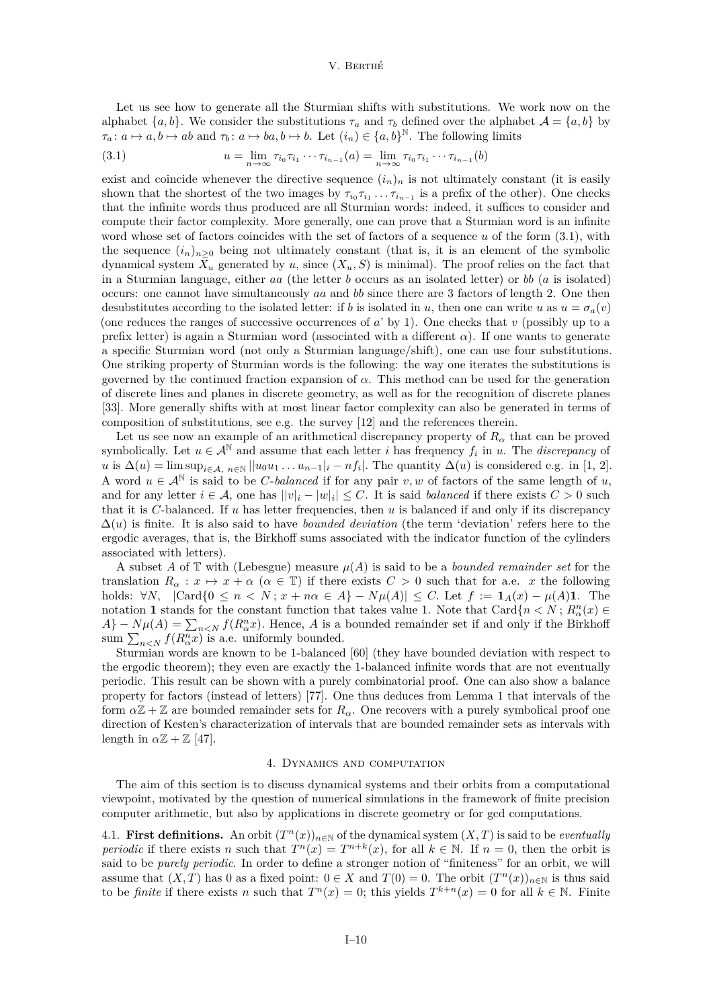Let us see how to generate all the Sturmian shifts with substitutions. We work now on the alphabet  $\{a, b\}$ . We consider the substitutions  $\tau_a$  and  $\tau_b$  defined over the alphabet  $\mathcal{A} = \{a, b\}$  by  $\tau_a: a \mapsto a, b \mapsto ab$  and  $\tau_b: a \mapsto ba, b \mapsto b$ . Let  $(i_n) \in \{a, b\}^{\mathbb{N}}$ . The following limits

<span id="page-10-2"></span>(3.1) 
$$
u = \lim_{n \to \infty} \tau_{i_0} \tau_{i_1} \cdots \tau_{i_{n-1}}(a) = \lim_{n \to \infty} \tau_{i_0} \tau_{i_1} \cdots \tau_{i_{n-1}}(b)
$$

exist and coincide whenever the directive sequence  $(i_n)_n$  is not ultimately constant (it is easily shown that the shortest of the two images by  $\tau_{i_0}\tau_{i_1}\ldots\tau_{i_{n-1}}$  is a prefix of the other). One checks that the infinite words thus produced are all Sturmian words: indeed, it suffices to consider and compute their factor complexity. More generally, one can prove that a Sturmian word is an infinite word whose set of factors coincides with the set of factors of a sequence  $u$  of the form  $(3.1)$ , with the sequence  $(i_n)_{n>0}$  being not ultimately constant (that is, it is an element of the symbolic dynamical system  $X_u$  generated by u, since  $(X_u, S)$  is minimal). The proof relies on the fact that in a Sturmian language, either  $aa$  (the letter  $b$  occurs as an isolated letter) or  $bb$  ( $a$  is isolated) occurs: one cannot have simultaneously  $aa$  and  $bb$  since there are 3 factors of length 2. One then desubstitutes according to the isolated letter: if b is isolated in u, then one can write u as  $u = \sigma_a(v)$ (one reduces the ranges of successive occurrences of  $a'$  by 1). One checks that  $v$  (possibly up to a prefix letter) is again a Sturmian word (associated with a different  $\alpha$ ). If one wants to generate a specific Sturmian word (not only a Sturmian language/shift), one can use four substitutions. One striking property of Sturmian words is the following: the way one iterates the substitutions is governed by the continued fraction expansion of  $\alpha$ . This method can be used for the generation of discrete lines and planes in discrete geometry, as well as for the recognition of discrete planes [\[33\]](#page-15-21). More generally shifts with at most linear factor complexity can also be generated in terms of composition of substitutions, see e.g. the survey [\[12\]](#page-15-22) and the references therein.

Let us see now an example of an arithmetical discrepancy property of  $R_{\alpha}$  that can be proved symbolically. Let  $u \in A^{\mathbb{N}}$  and assume that each letter *i* has frequency  $f_i$  in *u*. The *discrepancy* of u is  $\Delta(u) = \limsup_{i \in \mathcal{A}, n \in \mathbb{N}} ||u_0 u_1 ... u_{n-1}||_i - nf_i$ . The quantity  $\Delta(u)$  is considered e.g. in [\[1,](#page-15-23) [2\]](#page-15-24). A word  $u \in A^{\mathbb{N}}$  is said to be *C*-balanced if for any pair v, w of factors of the same length of u, and for any letter  $i \in \mathcal{A}$ , one has  $||v|_i - |w|_i| \leq C$ . It is said *balanced* if there exists  $C > 0$  such that it is  $C$ -balanced. If  $u$  has letter frequencies, then  $u$  is balanced if and only if its discrepancy  $\Delta(u)$  is finite. It is also said to have *bounded deviation* (the term 'deviation' refers here to the ergodic averages, that is, the Birkhoff sums associated with the indicator function of the cylinders associated with letters).

A subset A of  $\mathbb T$  with (Lebesgue) measure  $\mu(A)$  is said to be a *bounded remainder set* for the translation  $R_{\alpha}: x \mapsto x + \alpha \ (\alpha \in \mathbb{T})$  if there exists  $C > 0$  such that for a.e. x the following holds: ∀*N*,  $|Card{0 \le n < N}$ ;  $x + n\alpha \in A$ } –  $N\mu(A)| \le C$ . Let  $f := \mathbf{1}_A(x) - \mu(A)\mathbf{1}$ . The notation **1** stands for the constant function that takes value 1. Note that  $\text{Card}\{n < N : R_{\alpha}^n(x) \in$  $A$ } –  $N\mu(A) = \sum_{n \le N} f(R_{\alpha}^n x)$ . Hence, A is a bounded remainder set if and only if the Birkhoff sum  $\sum_{n\leq N} f(R^n_\alpha x)$  is a.e. uniformly bounded.

Sturmian words are known to be 1-balanced [\[60\]](#page-16-8) (they have bounded deviation with respect to the ergodic theorem); they even are exactly the 1-balanced infinite words that are not eventually periodic. This result can be shown with a purely combinatorial proof. One can also show a balance property for factors (instead of letters) [\[77\]](#page-16-23). One thus deduces from Lemma [1](#page-8-1) that intervals of the form  $\alpha \mathbb{Z} + \mathbb{Z}$  are bounded remainder sets for  $R_{\alpha}$ . One recovers with a purely symbolical proof one direction of Kesten's characterization of intervals that are bounded remainder sets as intervals with length in  $\alpha \mathbb{Z} + \mathbb{Z}$  [\[47\]](#page-16-24).

## 4. Dynamics and computation

<span id="page-10-0"></span>The aim of this section is to discuss dynamical systems and their orbits from a computational viewpoint, motivated by the question of numerical simulations in the framework of finite precision computer arithmetic, but also by applications in discrete geometry or for gcd computations.

<span id="page-10-1"></span>4.1. **First definitions.** An orbit  $(T^n(x))_{n\in\mathbb{N}}$  of the dynamical system  $(X,T)$  is said to be *eventually periodic* if there exists *n* such that  $T^n(x) = T^{n+k}(x)$ , for all  $k \in \mathbb{N}$ . If  $n = 0$ , then the orbit is said to be *purely periodic*. In order to define a stronger notion of "finiteness" for an orbit, we will assume that  $(X, T)$  has 0 as a fixed point:  $0 \in X$  and  $T(0) = 0$ . The orbit  $(T^n(x))_{n \in \mathbb{N}}$  is thus said to be *finite* if there exists *n* such that  $T^n(x) = 0$ ; this yields  $T^{k+n}(x) = 0$  for all  $k \in \mathbb{N}$ . Finite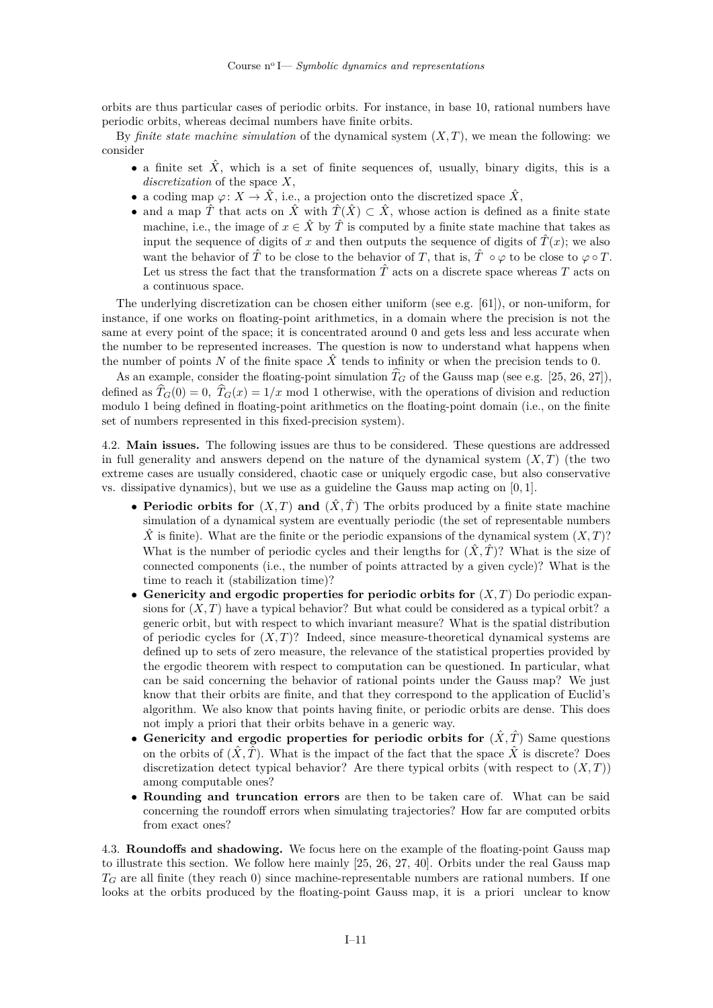orbits are thus particular cases of periodic orbits. For instance, in base 10, rational numbers have periodic orbits, whereas decimal numbers have finite orbits.

By *finite state machine simulation* of the dynamical system  $(X, T)$ , we mean the following: we consider

- a finite set  $\hat{X}$ , which is a set of finite sequences of, usually, binary digits, this is a  $discretization$  of the space  $X$ ,
- a coding map  $\varphi: X \to \hat{X}$ , i.e., a projection onto the discretized space  $\hat{X}$ ,
- and a map  $\hat{T}$  that acts on  $\hat{X}$  with  $\hat{T}(\hat{X}) \subset \hat{X}$ , whose action is defined as a finite state machine, i.e., the image of  $x \in \hat{X}$  by  $\hat{T}$  is computed by a finite state machine that takes as input the sequence of digits of x and then outputs the sequence of digits of  $\hat{T}(x)$ ; we also want the behavior of  $\hat{T}$  to be close to the behavior of T, that is,  $\hat{T} \circ \varphi$  to be close to  $\varphi \circ T$ . Let us stress the fact that the transformation  $\hat{T}$  acts on a discrete space whereas  $T$  acts on a continuous space.

The underlying discretization can be chosen either uniform (see e.g. [\[61\]](#page-16-25)), or non-uniform, for instance, if one works on floating-point arithmetics, in a domain where the precision is not the same at every point of the space; it is concentrated around 0 and gets less and less accurate when the number to be represented increases. The question is now to understand what happens when the number of points N of the finite space  $\hat{X}$  tends to infinity or when the precision tends to 0.

As an example, consider the floating-point simulation  $\hat{T}_G$  of the Gauss map (see e.g. [\[25,](#page-15-25) [26,](#page-15-26) [27\]](#page-15-27)), defined as  $\hat{T}_G(0) = 0$ ,  $\hat{T}_G(x) = 1/x$  mod 1 otherwise, with the operations of division and reduction modulo 1 being defined in floating-point arithmetics on the floating-point domain (i.e., on the finite set of numbers represented in this fixed-precision system).

<span id="page-11-0"></span>4.2. **Main issues.** The following issues are thus to be considered. These questions are addressed in full generality and answers depend on the nature of the dynamical system  $(X, T)$  (the two extreme cases are usually considered, chaotic case or uniquely ergodic case, but also conservative vs. dissipative dynamics), but we use as a guideline the Gauss map acting on [0*,* 1].

- **Periodic orbits for**  $(X, T)$  and  $(\hat{X}, \hat{T})$  The orbits produced by a finite state machine simulation of a dynamical system are eventually periodic (the set of representable numbers  $\hat{X}$  is finite). What are the finite or the periodic expansions of the dynamical system  $(X, T)$ ? What is the number of periodic cycles and their lengths for  $(\hat{X}, \hat{T})$ ? What is the size of connected components (i.e., the number of points attracted by a given cycle)? What is the time to reach it (stabilization time)?
- Genericity and ergodic properties for periodic orbits for  $(X, T)$  Do periodic expansions for  $(X, T)$  have a typical behavior? But what could be considered as a typical orbit? a generic orbit, but with respect to which invariant measure? What is the spatial distribution of periodic cycles for  $(X, T)$ ? Indeed, since measure-theoretical dynamical systems are defined up to sets of zero measure, the relevance of the statistical properties provided by the ergodic theorem with respect to computation can be questioned. In particular, what can be said concerning the behavior of rational points under the Gauss map? We just know that their orbits are finite, and that they correspond to the application of Euclid's algorithm. We also know that points having finite, or periodic orbits are dense. This does not imply a priori that their orbits behave in a generic way.
- **Genericity and ergodic properties for periodic orbits for**  $(\hat{X}, \hat{T})$  Same questions on the orbits of  $(\hat{X}, \hat{T})$ . What is the impact of the fact that the space  $\hat{X}$  is discrete? Does discretization detect typical behavior? Are there typical orbits (with respect to  $(X, T)$ ) among computable ones?
- ∙ **Rounding and truncation errors** are then to be taken care of. What can be said concerning the roundoff errors when simulating trajectories? How far are computed orbits from exact ones?

<span id="page-11-1"></span>4.3. **Roundoffs and shadowing.** We focus here on the example of the floating-point Gauss map to illustrate this section. We follow here mainly [\[25,](#page-15-25) [26,](#page-15-26) [27,](#page-15-27) [40\]](#page-16-26). Orbits under the real Gauss map  $T_G$  are all finite (they reach 0) since machine-representable numbers are rational numbers. If one looks at the orbits produced by the floating-point Gauss map, it is a priori unclear to know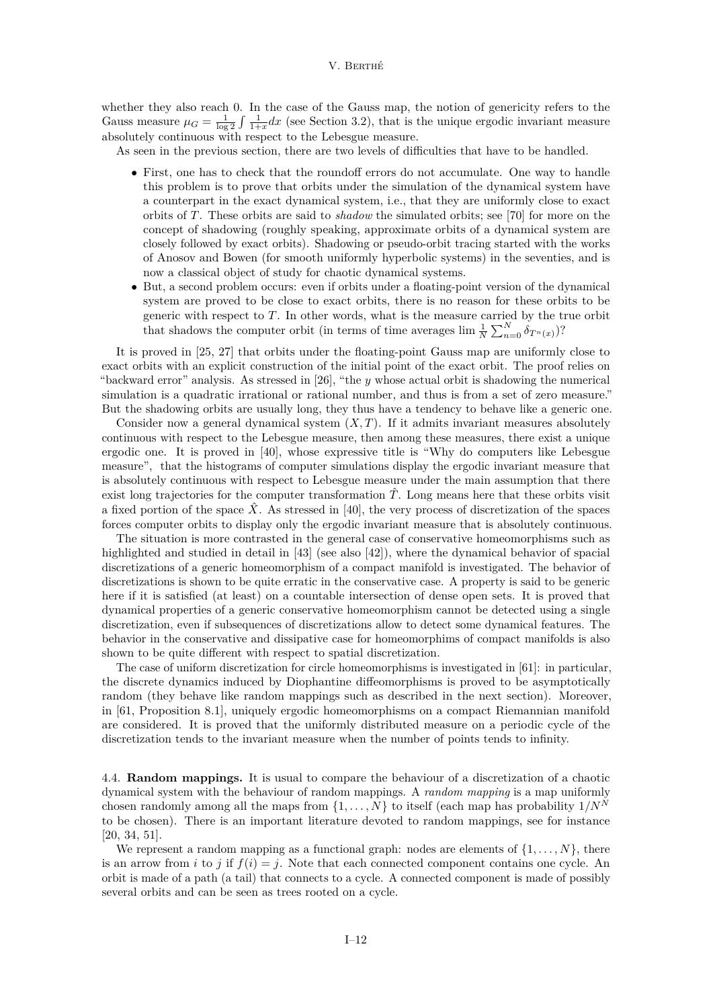whether they also reach 0. In the case of the Gauss map, the notion of genericity refers to the Gauss measure  $\mu_G = \frac{1}{\log 2} \int \frac{1}{1+x} dx$  (see Section [3.2\)](#page-7-0), that is the unique ergodic invariant measure absolutely continuous with respect to the Lebesgue measure.

As seen in the previous section, there are two levels of difficulties that have to be handled.

- ∙ First, one has to check that the roundoff errors do not accumulate. One way to handle this problem is to prove that orbits under the simulation of the dynamical system have a counterpart in the exact dynamical system, i.e., that they are uniformly close to exact orbits of T. These orbits are said to *shadow* the simulated orbits; see [\[70\]](#page-16-27) for more on the concept of shadowing (roughly speaking, approximate orbits of a dynamical system are closely followed by exact orbits). Shadowing or pseudo-orbit tracing started with the works of Anosov and Bowen (for smooth uniformly hyperbolic systems) in the seventies, and is now a classical object of study for chaotic dynamical systems.
- ∙ But, a second problem occurs: even if orbits under a floating-point version of the dynamical system are proved to be close to exact orbits, there is no reason for these orbits to be generic with respect to  $T$ . In other words, what is the measure carried by the true orbit that shadows the computer orbit (in terms of time averages  $\lim \frac{1}{N} \sum_{n=0}^{N} \delta_{T^n(x)}$ )?

It is proved in [\[25,](#page-15-25) [27\]](#page-15-27) that orbits under the floating-point Gauss map are uniformly close to exact orbits with an explicit construction of the initial point of the exact orbit. The proof relies on "backward error" analysis. As stressed in  $[26]$ , "the y whose actual orbit is shadowing the numerical simulation is a quadratic irrational or rational number, and thus is from a set of zero measure." But the shadowing orbits are usually long, they thus have a tendency to behave like a generic one.

Consider now a general dynamical system  $(X, T)$ . If it admits invariant measures absolutely continuous with respect to the Lebesgue measure, then among these measures, there exist a unique ergodic one. It is proved in [\[40\]](#page-16-26), whose expressive title is "Why do computers like Lebesgue measure", that the histograms of computer simulations display the ergodic invariant measure that is absolutely continuous with respect to Lebesgue measure under the main assumption that there exist long trajectories for the computer transformation  $\hat{T}$ . Long means here that these orbits visit a fixed portion of the space  $\hat{X}$ . As stressed in [\[40\]](#page-16-26), the very process of discretization of the spaces forces computer orbits to display only the ergodic invariant measure that is absolutely continuous.

The situation is more contrasted in the general case of conservative homeomorphisms such as highlighted and studied in detail in [\[43\]](#page-16-28) (see also [\[42\]](#page-16-29)), where the dynamical behavior of spacial discretizations of a generic homeomorphism of a compact manifold is investigated. The behavior of discretizations is shown to be quite erratic in the conservative case. A property is said to be generic here if it is satisfied (at least) on a countable intersection of dense open sets. It is proved that dynamical properties of a generic conservative homeomorphism cannot be detected using a single discretization, even if subsequences of discretizations allow to detect some dynamical features. The behavior in the conservative and dissipative case for homeomorphims of compact manifolds is also shown to be quite different with respect to spatial discretization.

The case of uniform discretization for circle homeomorphisms is investigated in [\[61\]](#page-16-25): in particular, the discrete dynamics induced by Diophantine diffeomorphisms is proved to be asymptotically random (they behave like random mappings such as described in the next section). Moreover, in [\[61,](#page-16-25) Proposition 8.1], uniquely ergodic homeomorphisms on a compact Riemannian manifold are considered. It is proved that the uniformly distributed measure on a periodic cycle of the discretization tends to the invariant measure when the number of points tends to infinity.

<span id="page-12-0"></span>4.4. **Random mappings.** It is usual to compare the behaviour of a discretization of a chaotic dynamical system with the behaviour of random mappings. A *random mapping* is a map uniformly chosen randomly among all the maps from  $\{1, \ldots, N\}$  to itself (each map has probability  $1/N^N$ to be chosen). There is an important literature devoted to random mappings, see for instance [\[20,](#page-15-28) [34,](#page-15-29) [51\]](#page-16-30).

We represent a random mapping as a functional graph: nodes are elements of  $\{1, \ldots, N\}$ , there is an arrow from *i* to *j* if  $f(i) = j$ . Note that each connected component contains one cycle. An orbit is made of a path (a tail) that connects to a cycle. A connected component is made of possibly several orbits and can be seen as trees rooted on a cycle.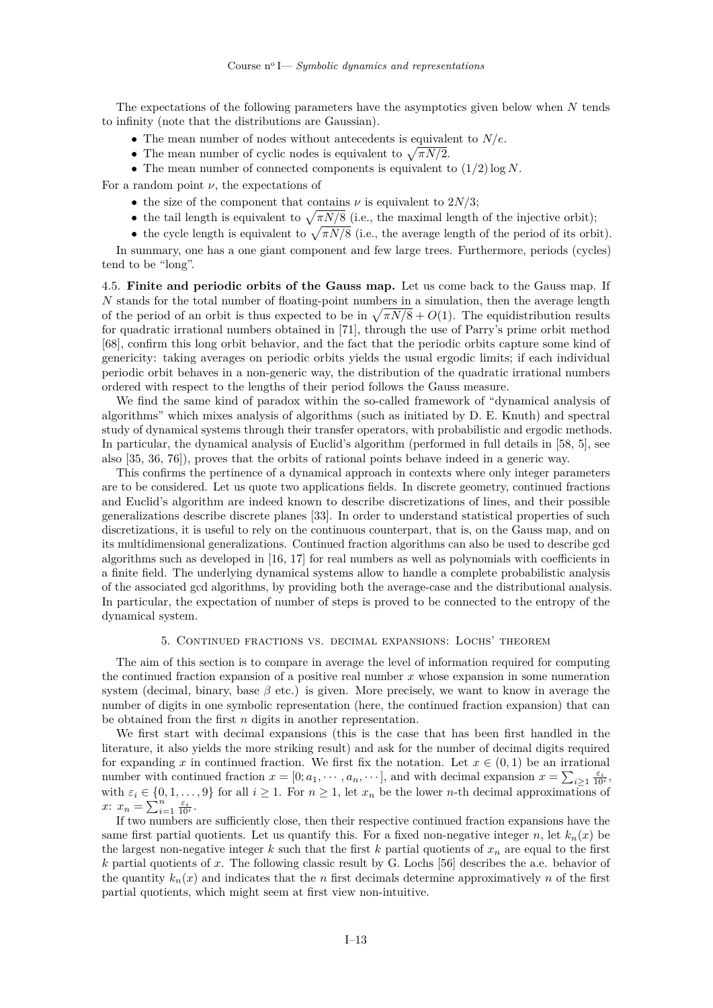The expectations of the following parameters have the asymptotics given below when  $N$  tends to infinity (note that the distributions are Gaussian).

- The mean number of nodes without antecedents is equivalent to  $N/e$ .
- The mean number of cyclic nodes is equivalent to  $\sqrt{\pi N/2}$ .
- The mean number of connected components is equivalent to  $(1/2)$  log N.

For a random point  $\nu$ , the expectations of

- the size of the component that contains  $\nu$  is equivalent to 2*N*/3;
- the tail length is equivalent to  $\sqrt{\pi N/8}$  (i.e., the maximal length of the injective orbit);
- the cycle length is equivalent to  $\sqrt{\pi N/8}$  (i.e., the average length of the period of its orbit).

In summary, one has a one giant component and few large trees. Furthermore, periods (cycles) tend to be "long".

<span id="page-13-0"></span>4.5. **Finite and periodic orbits of the Gauss map.** Let us come back to the Gauss map. If  $N$  stands for the total number of floating-point numbers in a simulation, then the average length of the period of an orbit is thus expected to be in  $\sqrt{\pi N/8} + O(1)$ . The equidistribution results for quadratic irrational numbers obtained in [\[71\]](#page-16-31), through the use of Parry's prime orbit method [\[68\]](#page-16-32), confirm this long orbit behavior, and the fact that the periodic orbits capture some kind of genericity: taking averages on periodic orbits yields the usual ergodic limits; if each individual periodic orbit behaves in a non-generic way, the distribution of the quadratic irrational numbers ordered with respect to the lengths of their period follows the Gauss measure.

We find the same kind of paradox within the so-called framework of "dynamical analysis of algorithms" which mixes analysis of algorithms (such as initiated by D. E. Knuth) and spectral study of dynamical systems through their transfer operators, with probabilistic and ergodic methods. In particular, the dynamical analysis of Euclid's algorithm (performed in full details in [\[58,](#page-16-33) [5\]](#page-15-30), see also [\[35,](#page-15-31) [36,](#page-15-32) [76\]](#page-16-34)), proves that the orbits of rational points behave indeed in a generic way.

This confirms the pertinence of a dynamical approach in contexts where only integer parameters are to be considered. Let us quote two applications fields. In discrete geometry, continued fractions and Euclid's algorithm are indeed known to describe discretizations of lines, and their possible generalizations describe discrete planes [\[33\]](#page-15-21). In order to understand statistical properties of such discretizations, it is useful to rely on the continuous counterpart, that is, on the Gauss map, and on its multidimensional generalizations. Continued fraction algorithms can also be used to describe gcd algorithms such as developed in [\[16,](#page-15-33) [17\]](#page-15-34) for real numbers as well as polynomials with coefficients in a finite field. The underlying dynamical systems allow to handle a complete probabilistic analysis of the associated gcd algorithms, by providing both the average-case and the distributional analysis. In particular, the expectation of number of steps is proved to be connected to the entropy of the dynamical system.

## 5. Continued fractions vs. decimal expansions: Lochs' theorem

<span id="page-13-1"></span>The aim of this section is to compare in average the level of information required for computing the continued fraction expansion of a positive real number  $x$  whose expansion in some numeration system (decimal, binary, base  $\beta$  etc.) is given. More precisely, we want to know in average the number of digits in one symbolic representation (here, the continued fraction expansion) that can be obtained from the first  $n$  digits in another representation.

We first start with decimal expansions (this is the case that has been first handled in the literature, it also yields the more striking result) and ask for the number of decimal digits required for expanding x in continued fraction. We first fix the notation. Let  $x \in (0,1)$  be an irrational number with continued fraction  $x = [0; a_1, \dots, a_n, \dots]$ , and with decimal expansion  $x = \sum_{i \geq 1} \frac{\varepsilon_i}{10^i}$ , with  $\varepsilon_i \in \{0, 1, \ldots, 9\}$  for all  $i \geq 1$ . For  $n \geq 1$ , let  $x_n$  be the lower *n*-th decimal approximations of  $x: x_n = \sum_{i=1}^n \frac{\varepsilon_i}{10^i}.$ 

If two numbers are sufficiently close, then their respective continued fraction expansions have the same first partial quotients. Let us quantify this. For a fixed non-negative integer n, let  $k_n(x)$  be the largest non-negative integer k such that the first k partial quotients of  $x_n$  are equal to the first  $k$  partial quotients of  $x$ . The following classic result by G. Lochs [\[56\]](#page-16-35) describes the a.e. behavior of the quantity  $k_n(x)$  and indicates that the *n* first decimals determine approximatively *n* of the first partial quotients, which might seem at first view non-intuitive.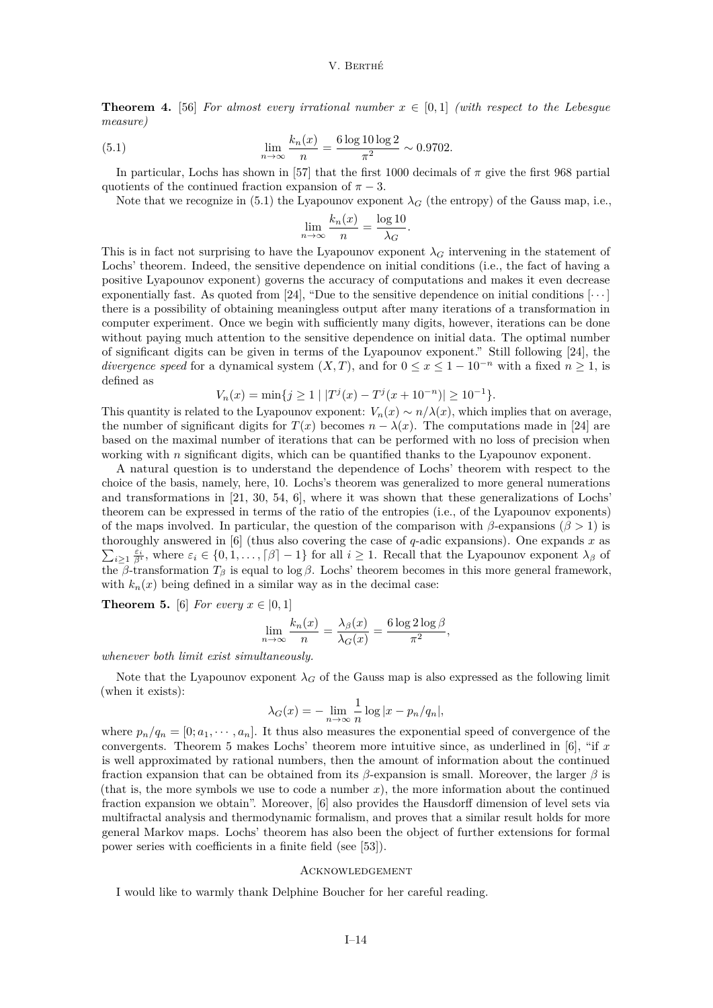**Theorem 4.** [\[56\]](#page-16-35) *For almost every irrational number*  $x \in [0,1]$  *(with respect to the Lebesgue measure)*

(5.1) 
$$
\lim_{n \to \infty} \frac{k_n(x)}{n} = \frac{6 \log 10 \log 2}{\pi^2} \sim 0.9702.
$$

In particular, Lochs has shown in [\[57\]](#page-16-36) that the first 1000 decimals of  $\pi$  give the first 968 partial quotients of the continued fraction expansion of  $\pi - 3$ .

Note that we recognize in [\(5.1\)](#page-14-1) the Lyapounov exponent  $\lambda_G$  (the entropy) of the Gauss map, i.e.,

<span id="page-14-1"></span>
$$
\lim_{n \to \infty} \frac{k_n(x)}{n} = \frac{\log 10}{\lambda_G}.
$$

This is in fact not surprising to have the Lyapounov exponent  $\lambda_G$  intervening in the statement of Lochs' theorem. Indeed, the sensitive dependence on initial conditions (i.e., the fact of having a positive Lyapounov exponent) governs the accuracy of computations and makes it even decrease exponentially fast. As quoted from [\[24\]](#page-15-14), "Due to the sensitive dependence on initial conditions  $[\cdots]$ there is a possibility of obtaining meaningless output after many iterations of a transformation in computer experiment. Once we begin with sufficiently many digits, however, iterations can be done without paying much attention to the sensitive dependence on initial data. The optimal number of significant digits can be given in terms of the Lyapounov exponent." Still following [\[24\]](#page-15-14), the *divergence speed* for a dynamical system  $(X, T)$ , and for  $0 \le x \le 1 - 10^{-n}$  with a fixed  $n \ge 1$ , is defined as

$$
V_n(x) = \min\{j \ge 1 \mid |T^j(x) - T^j(x + 10^{-n})| \ge 10^{-1}\}.
$$

This quantity is related to the Lyapounov exponent:  $V_n(x) \sim n/\lambda(x)$ , which implies that on average, the number of significant digits for  $T(x)$  becomes  $n - \lambda(x)$ . The computations made in [\[24\]](#page-15-14) are based on the maximal number of iterations that can be performed with no loss of precision when working with  $n$  significant digits, which can be quantified thanks to the Lyapounov exponent.

A natural question is to understand the dependence of Lochs' theorem with respect to the choice of the basis, namely, here, 10. Lochs's theorem was generalized to more general numerations and transformations in [\[21,](#page-15-35) [30,](#page-15-36) [54,](#page-16-37) [6\]](#page-15-37), where it was shown that these generalizations of Lochs' theorem can be expressed in terms of the ratio of the entropies (i.e., of the Lyapounov exponents) of the maps involved. In particular, the question of the comparison with  $\beta$ -expansions ( $\beta > 1$ ) is thoroughly answered in [[6\]](#page-15-37) (thus also covering the case of  $q$ -adic expansions). One expands x as  $\sum_{i\geq 1}\frac{\varepsilon_i}{\beta^i}$ , where  $\varepsilon_i\in\{0,1,\ldots,\lceil \beta \rceil-1\}$  for all  $i\geq 1$ . Recall that the Lyapounov exponent  $\lambda_{\beta}$  of the  $\beta$ -transformation  $T_{\beta}$  is equal to log  $\beta$ . Lochs' theorem becomes in this more general framework, with  $k_n(x)$  being defined in a similar way as in the decimal case:

<span id="page-14-2"></span>**Theorem 5.** [\[6\]](#page-15-37) *For every*  $x \in [0, 1]$ 

$$
\lim_{n \to \infty} \frac{k_n(x)}{n} = \frac{\lambda_\beta(x)}{\lambda_G(x)} = \frac{6 \log 2 \log \beta}{\pi^2},
$$

*whenever both limit exist simultaneously.*

Note that the Lyapounov exponent  $\lambda_G$  of the Gauss map is also expressed as the following limit (when it exists):

$$
\lambda_G(x) = -\lim_{n \to \infty} \frac{1}{n} \log |x - p_n/q_n|,
$$

where  $p_n/q_n = [0; a_1, \dots, a_n]$ . It thus also measures the exponential speed of convergence of the convergents. Theorem [5](#page-14-2) makes Lochs' theorem more intuitive since, as underlined in  $[6]$ , "if x is well approximated by rational numbers, then the amount of information about the continued fraction expansion that can be obtained from its  $\beta$ -expansion is small. Moreover, the larger  $\beta$  is (that is, the more symbols we use to code a number  $x$ ), the more information about the continued fraction expansion we obtain". Moreover, [\[6\]](#page-15-37) also provides the Hausdorff dimension of level sets via multifractal analysis and thermodynamic formalism, and proves that a similar result holds for more general Markov maps. Lochs' theorem has also been the object of further extensions for formal power series with coefficients in a finite field (see [\[53\]](#page-16-38)).

## <span id="page-14-0"></span>**ACKNOWLEDGEMENT**

I would like to warmly thank Delphine Boucher for her careful reading.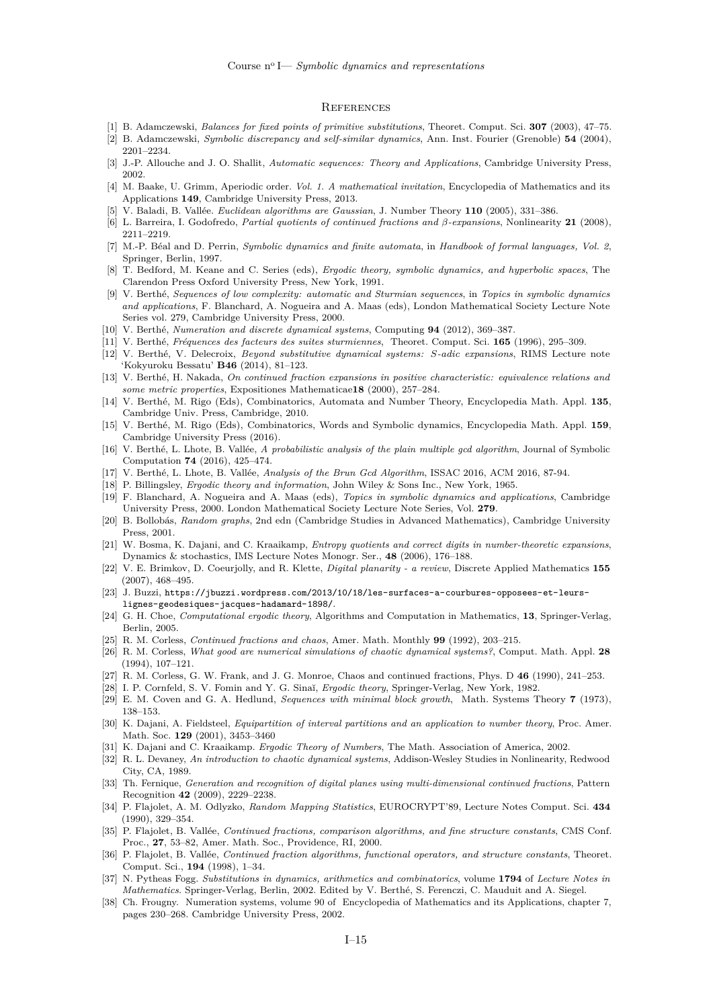#### <span id="page-15-0"></span>**REFERENCES**

- <span id="page-15-23"></span>[1] B. Adamczewski, *Balances for fixed points of primitive substitutions*, Theoret. Comput. Sci. **307** (2003), 47–75.
- <span id="page-15-24"></span>[2] B. Adamczewski, *Symbolic discrepancy and self-similar dynamics*, Ann. Inst. Fourier (Grenoble) **54** (2004), 2201–2234.
- <span id="page-15-3"></span>[3] J.-P. Allouche and J. O. Shallit, *Automatic sequences: Theory and Applications*, Cambridge University Press, 2002.
- <span id="page-15-18"></span>[4] M. Baake, U. Grimm, Aperiodic order. *Vol. 1. A mathematical invitation*, Encyclopedia of Mathematics and its Applications **149**, Cambridge University Press, 2013.
- <span id="page-15-30"></span>[5] V. Baladi, B. Vallée. *Euclidean algorithms are Gaussian*, J. Number Theory **110** (2005), 331–386.
- <span id="page-15-37"></span>[6] L. Barreira, I. Godofredo, *Partial quotients of continued fractions and -expansions*, Nonlinearity **21** (2008), 2211–2219.
- <span id="page-15-4"></span>[7] M.-P. Béal and D. Perrin, *Symbolic dynamics and finite automata*, in *Handbook of formal languages, Vol. 2*, Springer, Berlin, 1997.
- <span id="page-15-9"></span>[8] T. Bedford, M. Keane and C. Series (eds), *Ergodic theory, symbolic dynamics, and hyperbolic spaces*, The Clarendon Press Oxford University Press, New York, 1991.
- [9] V. Berthé, *Sequences of low complexity: automatic and Sturmian sequences*, in *Topics in symbolic dynamics and applications*, F. Blanchard, A. Nogueira and A. Maas (eds), London Mathematical Society Lecture Note Series vol. 279, Cambridge University Press, 2000.
- <span id="page-15-2"></span>[10] V. Berthé, *Numeration and discrete dynamical systems*, Computing **94** (2012), 369–387.
- <span id="page-15-20"></span>[11] V. Berthé, *Fréquences des facteurs des suites sturmiennes*, Theoret. Comput. Sci. **165** (1996), 295–309.
- <span id="page-15-22"></span>[12] V. Berthé, V. Delecroix, *Beyond substitutive dynamical systems: S-adic expansions*, RIMS Lecture note 'Kokyuroku Bessatu' **B46** (2014), 81–123.
- <span id="page-15-16"></span>[13] V. Berthé, H. Nakada, *On continued fraction expansions in positive characteristic: equivalence relations and some metric properties*, Expositiones Mathematicae**18** (2000), 257–284.
- <span id="page-15-6"></span>[14] V. Berthé, M. Rigo (Eds), Combinatorics, Automata and Number Theory, Encyclopedia Math. Appl. **135**, Cambridge Univ. Press, Cambridge, 2010.
- <span id="page-15-7"></span>[15] V. Berthé, M. Rigo (Eds), Combinatorics, Words and Symbolic dynamics, Encyclopedia Math. Appl. **159**, Cambridge University Press (2016).
- <span id="page-15-33"></span>[16] V. Berthé, L. Lhote, B. Vallée, *A probabilistic analysis of the plain multiple gcd algorithm*, Journal of Symbolic Computation **74** (2016), 425–474.
- <span id="page-15-34"></span>[17] V. Berthé, L. Lhote, B. Vallée, *Analysis of the Brun Gcd Algorithm*, ISSAC 2016, ACM 2016, 87-94.
- <span id="page-15-10"></span>[18] P. Billingsley, *Ergodic theory and information*, John Wiley & Sons Inc., New York, 1965.
- <span id="page-15-5"></span>[19] F. Blanchard, A. Nogueira and A. Maas (eds), *Topics in symbolic dynamics and applications*, Cambridge University Press, 2000. London Mathematical Society Lecture Note Series, Vol. **279**.
- <span id="page-15-28"></span>[20] B. Bollobás, *Random graphs*, 2nd edn (Cambridge Studies in Advanced Mathematics), Cambridge University Press, 2001.
- <span id="page-15-35"></span>[21] W. Bosma, K. Dajani, and C. Kraaikamp, *Entropy quotients and correct digits in number-theoretic expansions*, Dynamics & stochastics, IMS Lecture Notes Monogr. Ser., **48** (2006), 176–188.
- <span id="page-15-19"></span>[22] V. E. Brimkov, D. Coeurjolly, and R. Klette, *Digital planarity - a review*, Discrete Applied Mathematics **155** (2007), 468–495.
- <span id="page-15-1"></span>[23] J. Buzzi, [https://jbuzzi.wordpress.com/2013/10/18/les-surfaces-a-courbures-opposees-et-leurs](https://jbuzzi.wordpress.com/2013/10/18/les-surfaces-a-courbures-opposees-et-leurs-lignes-geodesiques-jacques-hadamard-1898/)[lignes-geodesiques-jacques-hadamard-1898/](https://jbuzzi.wordpress.com/2013/10/18/les-surfaces-a-courbures-opposees-et-leurs-lignes-geodesiques-jacques-hadamard-1898/).
- <span id="page-15-14"></span>[24] G. H. Choe, *Computational ergodic theory*, Algorithms and Computation in Mathematics, **13**, Springer-Verlag, Berlin, 2005.
- <span id="page-15-25"></span>[25] R. M. Corless, *Continued fractions and chaos*, Amer. Math. Monthly **99** (1992), 203–215.
- <span id="page-15-26"></span>[26] R. M. Corless, *What good are numerical simulations of chaotic dynamical systems?*, Comput. Math. Appl. **28** (1994), 107–121.
- <span id="page-15-27"></span>[27] R. M. Corless, G. W. Frank, and J. G. Monroe, Chaos and continued fractions, Phys. D **46** (1990), 241–253.
- <span id="page-15-11"></span>[28] I. P. Cornfeld, S. V. Fomin and Y. G. Sinaĭ, *Ergodic theory*, Springer-Verlag, New York, 1982.
- <span id="page-15-17"></span>[29] E. M. Coven and G. A. Hedlund, *Sequences with minimal block growth*, Math. Systems Theory **7** (1973), 138–153.
- <span id="page-15-36"></span>[30] K. Dajani, A. Fieldsteel, *Equipartition of interval partitions and an application to number theory*, Proc. Amer. Math. Soc. **129** (2001), 3453–3460
- <span id="page-15-12"></span>[31] K. Dajani and C. Kraaikamp. *Ergodic Theory of Numbers*, The Math. Association of America, 2002.
- <span id="page-15-13"></span>[32] R. L. Devaney, *An introduction to chaotic dynamical systems*, Addison-Wesley Studies in Nonlinearity, Redwood City, CA, 1989.
- <span id="page-15-21"></span>[33] Th. Fernique, *Generation and recognition of digital planes using multi-dimensional continued fractions*, Pattern Recognition **42** (2009), 2229–2238.
- <span id="page-15-29"></span>[34] P. Flajolet, A. M. Odlyzko, *Random Mapping Statistics*, EUROCRYPT'89, Lecture Notes Comput. Sci. **434** (1990), 329–354.
- <span id="page-15-31"></span>[35] P. Flajolet, B. Vallée, *Continued fractions, comparison algorithms, and fine structure constants*, CMS Conf. Proc., **27**, 53–82, Amer. Math. Soc., Providence, RI, 2000.
- <span id="page-15-32"></span>[36] P. Flajolet, B. Vallée, *Continued fraction algorithms, functional operators, and structure constants*, Theoret. Comput. Sci., **194** (1998), 1–34.
- <span id="page-15-8"></span>[37] N. Pytheas Fogg. *Substitutions in dynamics, arithmetics and combinatorics*, volume **1794** of *Lecture Notes in Mathematics*. Springer-Verlag, Berlin, 2002. Edited by V. Berthé, S. Ferenczi, C. Mauduit and A. Siegel.
- <span id="page-15-15"></span>[38] Ch. Frougny. Numeration systems, volume 90 of Encyclopedia of Mathematics and its Applications, chapter 7, pages 230–268. Cambridge University Press, 2002.